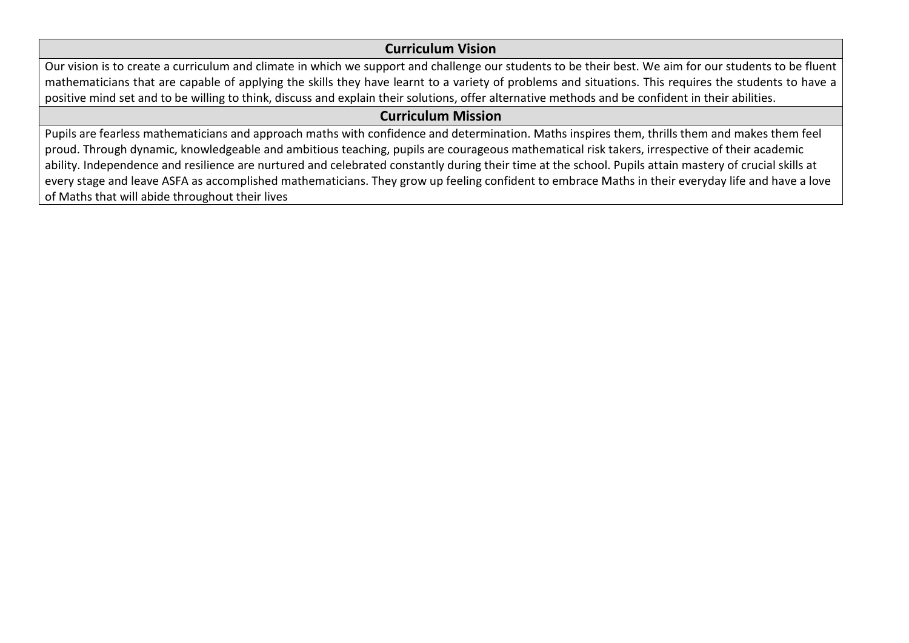## **Curriculum Vision**

Our vision is to create a curriculum and climate in which we support and challenge our students to be their best. We aim for our students to be fluent mathematicians that are capable of applying the skills they have learnt to a variety of problems and situations. This requires the students to have a positive mind set and to be willing to think, discuss and explain their solutions, offer alternative methods and be confident in their abilities.

## **Curriculum Mission**

Pupils are fearless mathematicians and approach maths with confidence and determination. Maths inspires them, thrills them and makes them feel proud. Through dynamic, knowledgeable and ambitious teaching, pupils are courageous mathematical risk takers, irrespective of their academic ability. Independence and resilience are nurtured and celebrated constantly during their time at the school. Pupils attain mastery of crucial skills at every stage and leave ASFA as accomplished mathematicians. They grow up feeling confident to embrace Maths in their everyday life and have a love of Maths that will abide throughout their lives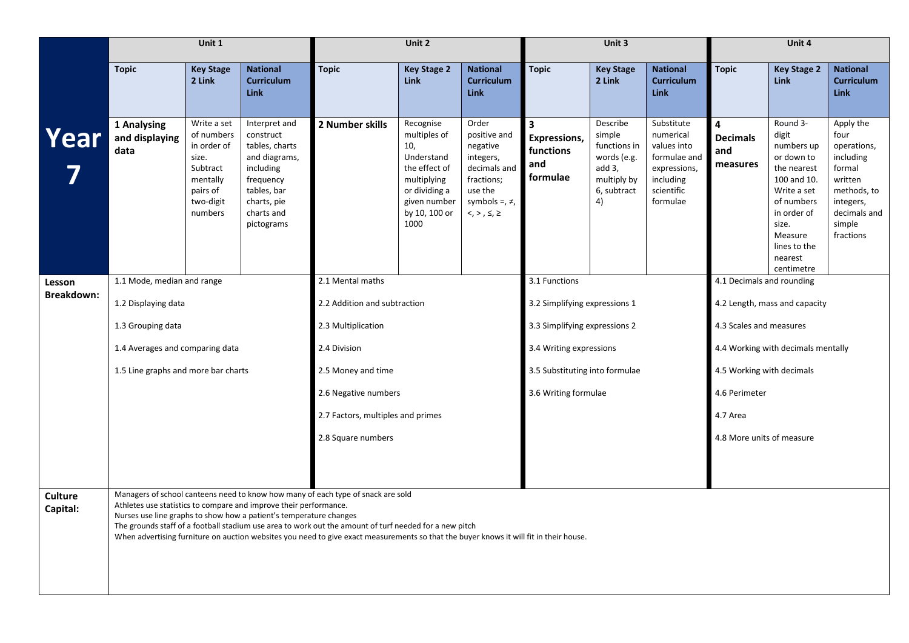|                            |                                                                                                                                                                                                                                                                                                                                                                                                                                                                                 | Unit 1                                                                                                        |                                                                                                                                                   |                                   | Unit 2                                                                                                                                   |                                                                                                                                    |                                                                         | Unit 3                                                                                          |                                                                                                               |                                         | Unit 4                                                                                                                                                                               |                                                                                                                                       |
|----------------------------|---------------------------------------------------------------------------------------------------------------------------------------------------------------------------------------------------------------------------------------------------------------------------------------------------------------------------------------------------------------------------------------------------------------------------------------------------------------------------------|---------------------------------------------------------------------------------------------------------------|---------------------------------------------------------------------------------------------------------------------------------------------------|-----------------------------------|------------------------------------------------------------------------------------------------------------------------------------------|------------------------------------------------------------------------------------------------------------------------------------|-------------------------------------------------------------------------|-------------------------------------------------------------------------------------------------|---------------------------------------------------------------------------------------------------------------|-----------------------------------------|--------------------------------------------------------------------------------------------------------------------------------------------------------------------------------------|---------------------------------------------------------------------------------------------------------------------------------------|
|                            | <b>Topic</b>                                                                                                                                                                                                                                                                                                                                                                                                                                                                    | <b>Key Stage</b><br>2 Link                                                                                    | <b>National</b><br><b>Curriculum</b><br><b>Link</b>                                                                                               | <b>Topic</b>                      | <b>Key Stage 2</b><br><b>Link</b>                                                                                                        | <b>National</b><br><b>Curriculum</b><br><b>Link</b>                                                                                | <b>Topic</b>                                                            | <b>Key Stage</b><br>2 Link                                                                      | <b>National</b><br><b>Curriculum</b><br><b>Link</b>                                                           | <b>Topic</b>                            | <b>Key Stage 2</b><br><b>Link</b>                                                                                                                                                    | <b>National</b><br><b>Curriculum</b><br><b>Link</b>                                                                                   |
| Year                       | 1 Analysing<br>and displaying<br>data                                                                                                                                                                                                                                                                                                                                                                                                                                           | Write a set<br>of numbers<br>in order of<br>size.<br>Subtract<br>mentally<br>pairs of<br>two-digit<br>numbers | Interpret and<br>construct<br>tables, charts<br>and diagrams,<br>including<br>frequency<br>tables, bar<br>charts, pie<br>charts and<br>pictograms | 2 Number skills                   | Recognise<br>multiples of<br>10,<br>Understand<br>the effect of<br>multiplying<br>or dividing a<br>given number<br>by 10, 100 or<br>1000 | Order<br>positive and<br>negative<br>integers,<br>decimals and<br>fractions;<br>use the<br>symbols =, $\neq$ ,<br>$<, >, \le, \ge$ | $\overline{\mathbf{3}}$<br>Expressions,<br>functions<br>and<br>formulae | Describe<br>simple<br>functions in<br>words (e.g.<br>add 3,<br>multiply by<br>6, subtract<br>4) | Substitute<br>numerical<br>values into<br>formulae and<br>expressions,<br>including<br>scientific<br>formulae | 4<br><b>Decimals</b><br>and<br>measures | Round 3-<br>digit<br>numbers up<br>or down to<br>the nearest<br>100 and 10.<br>Write a set<br>of numbers<br>in order of<br>size.<br>Measure<br>lines to the<br>nearest<br>centimetre | Apply the<br>four<br>operations,<br>including<br>formal<br>written<br>methods, to<br>integers,<br>decimals and<br>simple<br>fractions |
| Lesson                     | 1.1 Mode, median and range                                                                                                                                                                                                                                                                                                                                                                                                                                                      |                                                                                                               |                                                                                                                                                   | 2.1 Mental maths                  |                                                                                                                                          |                                                                                                                                    | 3.1 Functions                                                           |                                                                                                 |                                                                                                               | 4.1 Decimals and rounding               |                                                                                                                                                                                      |                                                                                                                                       |
| Breakdown:                 | 1.2 Displaying data                                                                                                                                                                                                                                                                                                                                                                                                                                                             |                                                                                                               |                                                                                                                                                   | 2.2 Addition and subtraction      |                                                                                                                                          |                                                                                                                                    | 3.2 Simplifying expressions 1                                           |                                                                                                 |                                                                                                               |                                         | 4.2 Length, mass and capacity                                                                                                                                                        |                                                                                                                                       |
|                            | 1.3 Grouping data                                                                                                                                                                                                                                                                                                                                                                                                                                                               |                                                                                                               |                                                                                                                                                   | 2.3 Multiplication                |                                                                                                                                          |                                                                                                                                    | 3.3 Simplifying expressions 2                                           |                                                                                                 |                                                                                                               | 4.3 Scales and measures                 |                                                                                                                                                                                      |                                                                                                                                       |
|                            | 1.4 Averages and comparing data                                                                                                                                                                                                                                                                                                                                                                                                                                                 |                                                                                                               |                                                                                                                                                   | 2.4 Division                      |                                                                                                                                          |                                                                                                                                    | 3.4 Writing expressions                                                 |                                                                                                 |                                                                                                               |                                         | 4.4 Working with decimals mentally                                                                                                                                                   |                                                                                                                                       |
|                            | 1.5 Line graphs and more bar charts                                                                                                                                                                                                                                                                                                                                                                                                                                             |                                                                                                               |                                                                                                                                                   | 2.5 Money and time                |                                                                                                                                          |                                                                                                                                    | 3.5 Substituting into formulae                                          |                                                                                                 |                                                                                                               | 4.5 Working with decimals               |                                                                                                                                                                                      |                                                                                                                                       |
|                            |                                                                                                                                                                                                                                                                                                                                                                                                                                                                                 |                                                                                                               |                                                                                                                                                   | 2.6 Negative numbers              |                                                                                                                                          |                                                                                                                                    | 3.6 Writing formulae                                                    |                                                                                                 |                                                                                                               | 4.6 Perimeter                           |                                                                                                                                                                                      |                                                                                                                                       |
|                            |                                                                                                                                                                                                                                                                                                                                                                                                                                                                                 |                                                                                                               |                                                                                                                                                   | 2.7 Factors, multiples and primes |                                                                                                                                          |                                                                                                                                    |                                                                         |                                                                                                 |                                                                                                               | 4.7 Area                                |                                                                                                                                                                                      |                                                                                                                                       |
|                            |                                                                                                                                                                                                                                                                                                                                                                                                                                                                                 |                                                                                                               |                                                                                                                                                   | 2.8 Square numbers                |                                                                                                                                          |                                                                                                                                    |                                                                         |                                                                                                 |                                                                                                               | 4.8 More units of measure               |                                                                                                                                                                                      |                                                                                                                                       |
|                            |                                                                                                                                                                                                                                                                                                                                                                                                                                                                                 |                                                                                                               |                                                                                                                                                   |                                   |                                                                                                                                          |                                                                                                                                    |                                                                         |                                                                                                 |                                                                                                               |                                         |                                                                                                                                                                                      |                                                                                                                                       |
| <b>Culture</b><br>Capital: | Managers of school canteens need to know how many of each type of snack are sold<br>Athletes use statistics to compare and improve their performance.<br>Nurses use line graphs to show how a patient's temperature changes<br>The grounds staff of a football stadium use area to work out the amount of turf needed for a new pitch<br>When advertising furniture on auction websites you need to give exact measurements so that the buyer knows it will fit in their house. |                                                                                                               |                                                                                                                                                   |                                   |                                                                                                                                          |                                                                                                                                    |                                                                         |                                                                                                 |                                                                                                               |                                         |                                                                                                                                                                                      |                                                                                                                                       |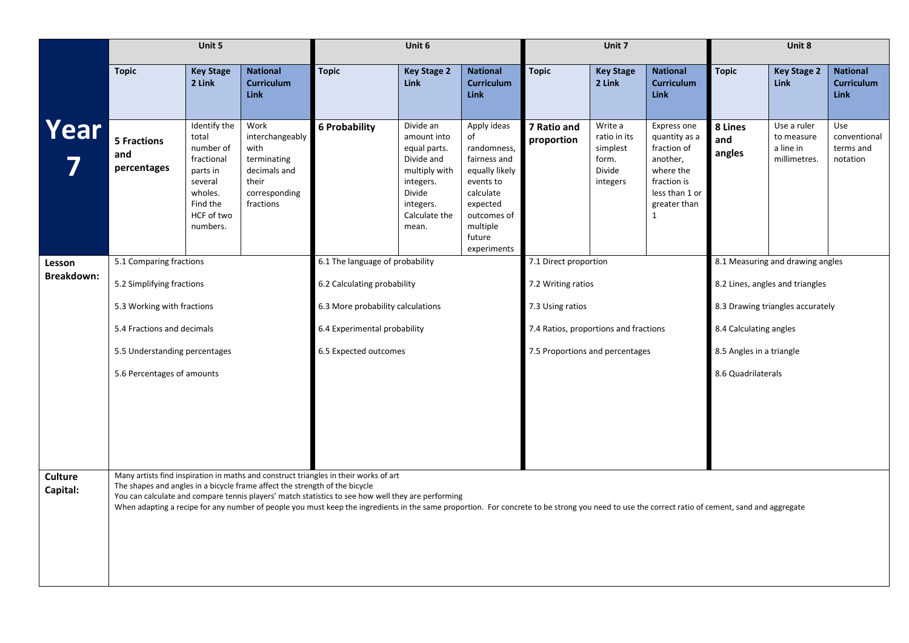|                             |                                                                             | Unit 5                                                                                                                   |                                                                                                       |                                                                                                                                                                                                                                                                                                                                                                                               | Unit 6                                                                                                                                |                                                                                                                                                              |                                       | Unit 7                                                             |                                                                                                                                       |                          | Unit 8                                                 |                                                     |
|-----------------------------|-----------------------------------------------------------------------------|--------------------------------------------------------------------------------------------------------------------------|-------------------------------------------------------------------------------------------------------|-----------------------------------------------------------------------------------------------------------------------------------------------------------------------------------------------------------------------------------------------------------------------------------------------------------------------------------------------------------------------------------------------|---------------------------------------------------------------------------------------------------------------------------------------|--------------------------------------------------------------------------------------------------------------------------------------------------------------|---------------------------------------|--------------------------------------------------------------------|---------------------------------------------------------------------------------------------------------------------------------------|--------------------------|--------------------------------------------------------|-----------------------------------------------------|
|                             | <b>Topic</b>                                                                | <b>Key Stage</b><br>2 Link                                                                                               | <b>National</b><br><b>Curriculum</b><br><b>Link</b>                                                   | <b>Topic</b>                                                                                                                                                                                                                                                                                                                                                                                  | <b>Key Stage 2</b><br>Link                                                                                                            | <b>National</b><br><b>Curriculum</b><br><b>Link</b>                                                                                                          | <b>Topic</b>                          | <b>Key Stage</b><br>2 Link                                         | <b>National</b><br><b>Curriculum</b><br><b>Link</b>                                                                                   | <b>Topic</b>             | <b>Key Stage 2</b><br><b>Link</b>                      | <b>National</b><br><b>Curriculum</b><br><b>Link</b> |
| Year                        | <b>5 Fractions</b><br>and<br>percentages                                    | Identify the<br>total<br>number of<br>fractional<br>parts in<br>several<br>wholes.<br>Find the<br>HCF of two<br>numbers. | Work<br>interchangeably<br>with<br>terminating<br>decimals and<br>their<br>corresponding<br>fractions | <b>6 Probability</b>                                                                                                                                                                                                                                                                                                                                                                          | Divide an<br>amount into<br>equal parts.<br>Divide and<br>multiply with<br>integers.<br>Divide<br>integers.<br>Calculate the<br>mean. | Apply ideas<br>of<br>randomness,<br>fairness and<br>equally likely<br>events to<br>calculate<br>expected<br>outcomes of<br>multiple<br>future<br>experiments | 7 Ratio and<br>proportion             | Write a<br>ratio in its<br>simplest<br>form.<br>Divide<br>integers | Express one<br>quantity as a<br>fraction of<br>another,<br>where the<br>fraction is<br>less than 1 or<br>greater than<br>$\mathbf{1}$ | 8 Lines<br>and<br>angles | Use a ruler<br>to measure<br>a line in<br>millimetres. | Use<br>conventional<br>terms and<br>notation        |
| Lesson<br><b>Breakdown:</b> | 5.1 Comparing fractions                                                     |                                                                                                                          |                                                                                                       | 6.1 The language of probability                                                                                                                                                                                                                                                                                                                                                               |                                                                                                                                       |                                                                                                                                                              | 7.1 Direct proportion                 |                                                                    |                                                                                                                                       |                          | 8.1 Measuring and drawing angles                       |                                                     |
|                             | 5.2 Simplifying fractions                                                   |                                                                                                                          |                                                                                                       | 6.2 Calculating probability                                                                                                                                                                                                                                                                                                                                                                   |                                                                                                                                       |                                                                                                                                                              | 7.2 Writing ratios                    |                                                                    |                                                                                                                                       |                          | 8.2 Lines, angles and triangles                        |                                                     |
|                             |                                                                             |                                                                                                                          |                                                                                                       | 6.3 More probability calculations                                                                                                                                                                                                                                                                                                                                                             |                                                                                                                                       |                                                                                                                                                              | 7.3 Using ratios                      |                                                                    |                                                                                                                                       |                          | 8.3 Drawing triangles accurately                       |                                                     |
|                             | 5.3 Working with fractions<br>5.4 Fractions and decimals                    |                                                                                                                          |                                                                                                       | 6.4 Experimental probability                                                                                                                                                                                                                                                                                                                                                                  |                                                                                                                                       |                                                                                                                                                              | 7.4 Ratios, proportions and fractions |                                                                    |                                                                                                                                       | 8.4 Calculating angles   |                                                        |                                                     |
|                             | 5.5 Understanding percentages                                               |                                                                                                                          |                                                                                                       | 6.5 Expected outcomes                                                                                                                                                                                                                                                                                                                                                                         |                                                                                                                                       |                                                                                                                                                              | 7.5 Proportions and percentages       |                                                                    |                                                                                                                                       | 8.5 Angles in a triangle |                                                        |                                                     |
|                             | 5.6 Percentages of amounts                                                  |                                                                                                                          |                                                                                                       |                                                                                                                                                                                                                                                                                                                                                                                               |                                                                                                                                       |                                                                                                                                                              |                                       |                                                                    |                                                                                                                                       | 8.6 Quadrilaterals       |                                                        |                                                     |
|                             |                                                                             |                                                                                                                          |                                                                                                       |                                                                                                                                                                                                                                                                                                                                                                                               |                                                                                                                                       |                                                                                                                                                              |                                       |                                                                    |                                                                                                                                       |                          |                                                        |                                                     |
|                             |                                                                             |                                                                                                                          |                                                                                                       |                                                                                                                                                                                                                                                                                                                                                                                               |                                                                                                                                       |                                                                                                                                                              |                                       |                                                                    |                                                                                                                                       |                          |                                                        |                                                     |
|                             |                                                                             |                                                                                                                          |                                                                                                       |                                                                                                                                                                                                                                                                                                                                                                                               |                                                                                                                                       |                                                                                                                                                              |                                       |                                                                    |                                                                                                                                       |                          |                                                        |                                                     |
|                             |                                                                             |                                                                                                                          |                                                                                                       |                                                                                                                                                                                                                                                                                                                                                                                               |                                                                                                                                       |                                                                                                                                                              |                                       |                                                                    |                                                                                                                                       |                          |                                                        |                                                     |
| <b>Culture</b><br>Capital:  | The shapes and angles in a bicycle frame affect the strength of the bicycle |                                                                                                                          |                                                                                                       | Many artists find inspiration in maths and construct triangles in their works of art<br>You can calculate and compare tennis players' match statistics to see how well they are performing<br>When adapting a recipe for any number of people you must keep the ingredients in the same proportion. For concrete to be strong you need to use the correct ratio of cement, sand and aggregate |                                                                                                                                       |                                                                                                                                                              |                                       |                                                                    |                                                                                                                                       |                          |                                                        |                                                     |
|                             |                                                                             |                                                                                                                          |                                                                                                       |                                                                                                                                                                                                                                                                                                                                                                                               |                                                                                                                                       |                                                                                                                                                              |                                       |                                                                    |                                                                                                                                       |                          |                                                        |                                                     |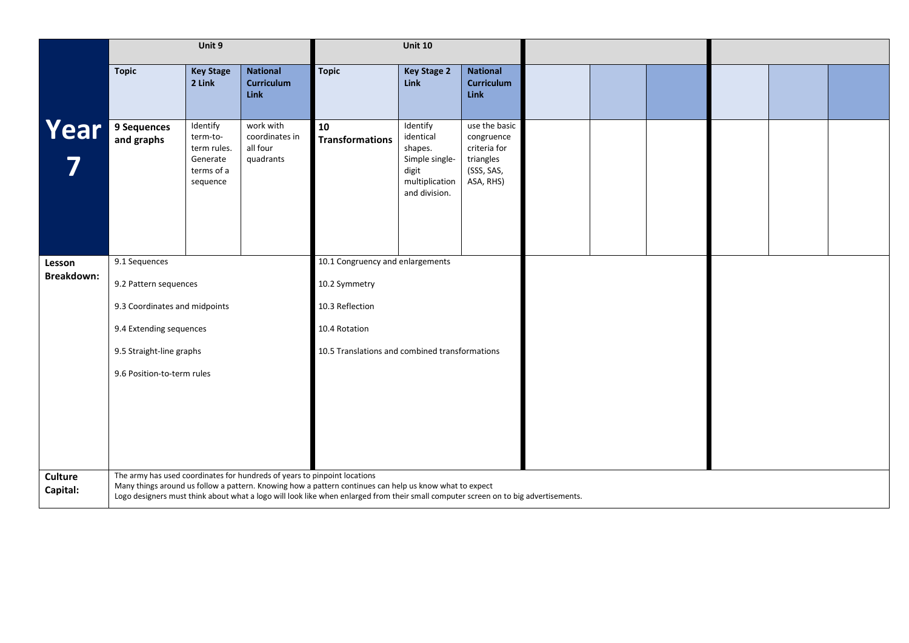|                             |                               | Unit 9                                                                    |                                                                           |                                                                                                                                                                                                                                                | <b>Unit 10</b>                                                                                 |                                                                                     |  |  |  |
|-----------------------------|-------------------------------|---------------------------------------------------------------------------|---------------------------------------------------------------------------|------------------------------------------------------------------------------------------------------------------------------------------------------------------------------------------------------------------------------------------------|------------------------------------------------------------------------------------------------|-------------------------------------------------------------------------------------|--|--|--|
|                             | <b>Topic</b>                  | <b>Key Stage</b><br>2 Link                                                | <b>National</b><br><b>Curriculum</b><br><b>Link</b>                       | <b>Topic</b>                                                                                                                                                                                                                                   | <b>Key Stage 2</b><br>Link                                                                     | <b>National</b><br><b>Curriculum</b><br>Link                                        |  |  |  |
| Year                        | 9 Sequences<br>and graphs     | Identify<br>term-to-<br>term rules.<br>Generate<br>terms of a<br>sequence | work with<br>coordinates in<br>all four<br>quadrants                      | 10<br><b>Transformations</b>                                                                                                                                                                                                                   | Identify<br>identical<br>shapes.<br>Simple single-<br>digit<br>multiplication<br>and division. | use the basic<br>congruence<br>criteria for<br>triangles<br>(SSS, SAS,<br>ASA, RHS) |  |  |  |
| Lesson<br><b>Breakdown:</b> | 9.1 Sequences                 |                                                                           |                                                                           | 10.1 Congruency and enlargements                                                                                                                                                                                                               |                                                                                                |                                                                                     |  |  |  |
|                             | 9.2 Pattern sequences         |                                                                           |                                                                           | 10.2 Symmetry                                                                                                                                                                                                                                  |                                                                                                |                                                                                     |  |  |  |
|                             | 9.3 Coordinates and midpoints |                                                                           |                                                                           | 10.3 Reflection                                                                                                                                                                                                                                |                                                                                                |                                                                                     |  |  |  |
|                             | 9.4 Extending sequences       |                                                                           |                                                                           | 10.4 Rotation                                                                                                                                                                                                                                  |                                                                                                |                                                                                     |  |  |  |
|                             | 9.5 Straight-line graphs      |                                                                           |                                                                           | 10.5 Translations and combined transformations                                                                                                                                                                                                 |                                                                                                |                                                                                     |  |  |  |
|                             | 9.6 Position-to-term rules    |                                                                           |                                                                           |                                                                                                                                                                                                                                                |                                                                                                |                                                                                     |  |  |  |
|                             |                               |                                                                           |                                                                           |                                                                                                                                                                                                                                                |                                                                                                |                                                                                     |  |  |  |
|                             |                               |                                                                           |                                                                           |                                                                                                                                                                                                                                                |                                                                                                |                                                                                     |  |  |  |
|                             |                               |                                                                           |                                                                           |                                                                                                                                                                                                                                                |                                                                                                |                                                                                     |  |  |  |
|                             |                               |                                                                           |                                                                           |                                                                                                                                                                                                                                                |                                                                                                |                                                                                     |  |  |  |
| <b>Culture</b><br>Capital:  |                               |                                                                           | The army has used coordinates for hundreds of years to pinpoint locations | Many things around us follow a pattern. Knowing how a pattern continues can help us know what to expect<br>Logo designers must think about what a logo will look like when enlarged from their small computer screen on to big advertisements. |                                                                                                |                                                                                     |  |  |  |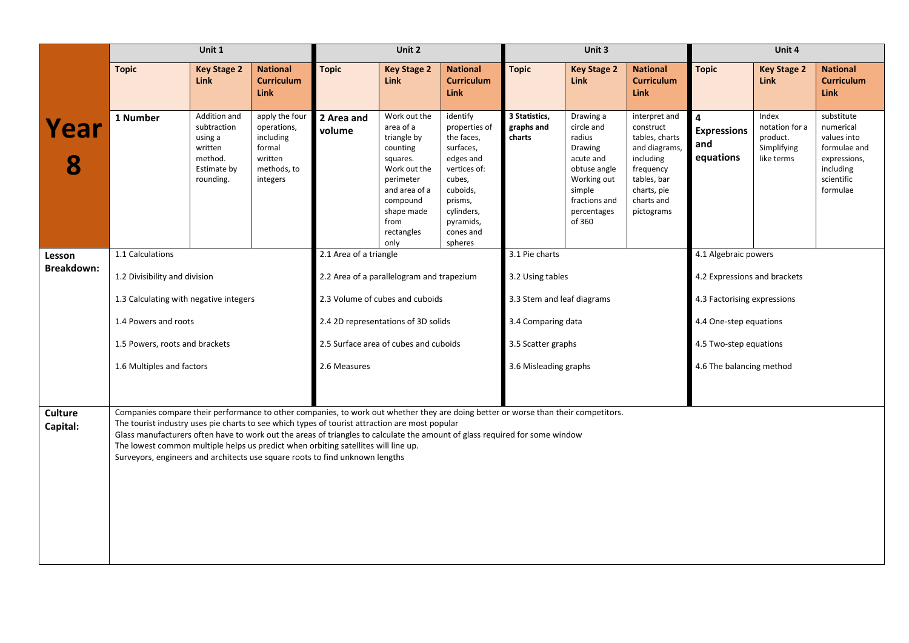|                            |                                                                                                                                                                                                                                                                                                                                                                                                                                                                                                                                           | Unit 1                                                                                   |                                                                                            |                        | Unit 2                                                                                                                                                                 |                                                                                                                                                                       |                                       | Unit 3                                                                                                                                       |                                                                                                                                                   |                                                                   | Unit 4                                                           |                                                                                                               |
|----------------------------|-------------------------------------------------------------------------------------------------------------------------------------------------------------------------------------------------------------------------------------------------------------------------------------------------------------------------------------------------------------------------------------------------------------------------------------------------------------------------------------------------------------------------------------------|------------------------------------------------------------------------------------------|--------------------------------------------------------------------------------------------|------------------------|------------------------------------------------------------------------------------------------------------------------------------------------------------------------|-----------------------------------------------------------------------------------------------------------------------------------------------------------------------|---------------------------------------|----------------------------------------------------------------------------------------------------------------------------------------------|---------------------------------------------------------------------------------------------------------------------------------------------------|-------------------------------------------------------------------|------------------------------------------------------------------|---------------------------------------------------------------------------------------------------------------|
|                            | <b>Topic</b>                                                                                                                                                                                                                                                                                                                                                                                                                                                                                                                              | <b>Key Stage 2</b><br><b>Link</b>                                                        | <b>National</b><br><b>Curriculum</b><br><b>Link</b>                                        | <b>Topic</b>           | <b>Key Stage 2</b><br><b>Link</b>                                                                                                                                      | <b>National</b><br><b>Curriculum</b><br><b>Link</b>                                                                                                                   | <b>Topic</b>                          | <b>Key Stage 2</b><br><b>Link</b>                                                                                                            | <b>National</b><br><b>Curriculum</b><br><b>Link</b>                                                                                               | <b>Topic</b>                                                      | <b>Key Stage 2</b><br><b>Link</b>                                | <b>National</b><br><b>Curriculum</b><br><b>Link</b>                                                           |
| Year                       | 1 Number                                                                                                                                                                                                                                                                                                                                                                                                                                                                                                                                  | Addition and<br>subtraction<br>using a<br>written<br>method.<br>Estimate by<br>rounding. | apply the four<br>operations,<br>including<br>formal<br>written<br>methods, to<br>integers | 2 Area and<br>volume   | Work out the<br>area of a<br>triangle by<br>counting<br>squares.<br>Work out the<br>perimeter<br>and area of a<br>compound<br>shape made<br>from<br>rectangles<br>only | identify<br>properties of<br>the faces,<br>surfaces,<br>edges and<br>vertices of:<br>cubes,<br>cuboids,<br>prisms,<br>cylinders,<br>pyramids,<br>cones and<br>spheres | 3 Statistics,<br>graphs and<br>charts | Drawing a<br>circle and<br>radius<br>Drawing<br>acute and<br>obtuse angle<br>Working out<br>simple<br>fractions and<br>percentages<br>of 360 | interpret and<br>construct<br>tables, charts<br>and diagrams,<br>including<br>frequency<br>tables, bar<br>charts, pie<br>charts and<br>pictograms | $\overline{\mathbf{4}}$<br><b>Expressions</b><br>and<br>equations | Index<br>notation for a<br>product.<br>Simplifying<br>like terms | substitute<br>numerical<br>values into<br>formulae and<br>expressions,<br>including<br>scientific<br>formulae |
| Lesson                     | 1.1 Calculations                                                                                                                                                                                                                                                                                                                                                                                                                                                                                                                          |                                                                                          |                                                                                            | 2.1 Area of a triangle |                                                                                                                                                                        |                                                                                                                                                                       | 3.1 Pie charts                        |                                                                                                                                              |                                                                                                                                                   | 4.1 Algebraic powers                                              |                                                                  |                                                                                                               |
| <b>Breakdown:</b>          | 1.2 Divisibility and division                                                                                                                                                                                                                                                                                                                                                                                                                                                                                                             |                                                                                          |                                                                                            |                        | 2.2 Area of a parallelogram and trapezium                                                                                                                              |                                                                                                                                                                       | 3.2 Using tables                      |                                                                                                                                              |                                                                                                                                                   | 4.2 Expressions and brackets                                      |                                                                  |                                                                                                               |
|                            | 1.3 Calculating with negative integers                                                                                                                                                                                                                                                                                                                                                                                                                                                                                                    |                                                                                          |                                                                                            |                        | 2.3 Volume of cubes and cuboids                                                                                                                                        |                                                                                                                                                                       | 3.3 Stem and leaf diagrams            |                                                                                                                                              |                                                                                                                                                   | 4.3 Factorising expressions                                       |                                                                  |                                                                                                               |
|                            | 1.4 Powers and roots                                                                                                                                                                                                                                                                                                                                                                                                                                                                                                                      |                                                                                          |                                                                                            |                        | 2.4 2D representations of 3D solids                                                                                                                                    |                                                                                                                                                                       | 3.4 Comparing data                    |                                                                                                                                              |                                                                                                                                                   | 4.4 One-step equations                                            |                                                                  |                                                                                                               |
|                            | 1.5 Powers, roots and brackets                                                                                                                                                                                                                                                                                                                                                                                                                                                                                                            |                                                                                          |                                                                                            |                        | 2.5 Surface area of cubes and cuboids                                                                                                                                  |                                                                                                                                                                       | 3.5 Scatter graphs                    |                                                                                                                                              |                                                                                                                                                   | 4.5 Two-step equations                                            |                                                                  |                                                                                                               |
|                            | 1.6 Multiples and factors                                                                                                                                                                                                                                                                                                                                                                                                                                                                                                                 |                                                                                          |                                                                                            | 2.6 Measures           |                                                                                                                                                                        |                                                                                                                                                                       | 3.6 Misleading graphs                 |                                                                                                                                              |                                                                                                                                                   | 4.6 The balancing method                                          |                                                                  |                                                                                                               |
| <b>Culture</b><br>Capital: | Companies compare their performance to other companies, to work out whether they are doing better or worse than their competitors.<br>The tourist industry uses pie charts to see which types of tourist attraction are most popular<br>Glass manufacturers often have to work out the areas of triangles to calculate the amount of glass required for some window<br>The lowest common multiple helps us predict when orbiting satellites will line up.<br>Surveyors, engineers and architects use square roots to find unknown lengths |                                                                                          |                                                                                            |                        |                                                                                                                                                                        |                                                                                                                                                                       |                                       |                                                                                                                                              |                                                                                                                                                   |                                                                   |                                                                  |                                                                                                               |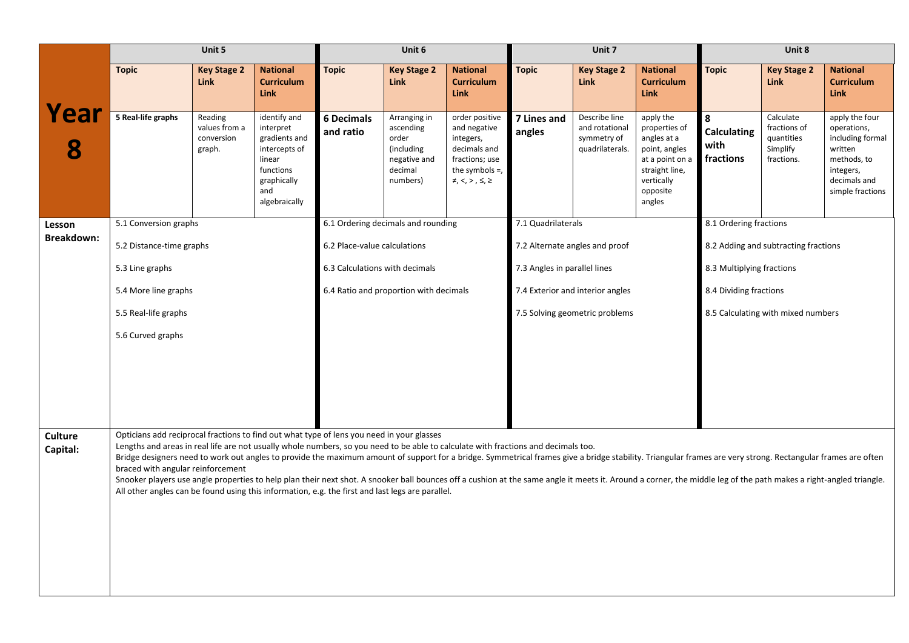|                            |                                                                                                                                                                                                                                                                                                                                                                                                                                                                                                                                                                                                                                                                                                                                                                                                              | Unit 5                                           |                                                                                                                           |                                | Unit 6                                                                                  |                                                                                                                                   |                              | Unit 7                                                            |                                                                                                                                     |                                              | Unit 8                                                            |                                                                                                                              |
|----------------------------|--------------------------------------------------------------------------------------------------------------------------------------------------------------------------------------------------------------------------------------------------------------------------------------------------------------------------------------------------------------------------------------------------------------------------------------------------------------------------------------------------------------------------------------------------------------------------------------------------------------------------------------------------------------------------------------------------------------------------------------------------------------------------------------------------------------|--------------------------------------------------|---------------------------------------------------------------------------------------------------------------------------|--------------------------------|-----------------------------------------------------------------------------------------|-----------------------------------------------------------------------------------------------------------------------------------|------------------------------|-------------------------------------------------------------------|-------------------------------------------------------------------------------------------------------------------------------------|----------------------------------------------|-------------------------------------------------------------------|------------------------------------------------------------------------------------------------------------------------------|
|                            | <b>Topic</b>                                                                                                                                                                                                                                                                                                                                                                                                                                                                                                                                                                                                                                                                                                                                                                                                 | <b>Key Stage 2</b><br><b>Link</b>                | <b>National</b><br><b>Curriculum</b><br><b>Link</b>                                                                       | <b>Topic</b>                   | <b>Key Stage 2</b><br><b>Link</b>                                                       | <b>National</b><br><b>Curriculum</b><br><b>Link</b>                                                                               | <b>Topic</b>                 | <b>Key Stage 2</b><br><b>Link</b>                                 | <b>National</b><br><b>Curriculum</b><br><b>Link</b>                                                                                 | <b>Topic</b>                                 | <b>Key Stage 2</b><br><b>Link</b>                                 | <b>National</b><br><b>Curriculum</b><br><b>Link</b>                                                                          |
| Year                       | 5 Real-life graphs                                                                                                                                                                                                                                                                                                                                                                                                                                                                                                                                                                                                                                                                                                                                                                                           | Reading<br>values from a<br>conversion<br>graph. | identify and<br>interpret<br>gradients and<br>intercepts of<br>linear<br>functions<br>graphically<br>and<br>algebraically | <b>6 Decimals</b><br>and ratio | Arranging in<br>ascending<br>order<br>(including<br>negative and<br>decimal<br>numbers) | order positive<br>and negative<br>integers,<br>decimals and<br>fractions; use<br>the symbols $=$ ,<br>$\neq, <, >$ , $\leq, \geq$ | 7 Lines and<br>angles        | Describe line<br>and rotational<br>symmetry of<br>quadrilaterals. | apply the<br>properties of<br>angles at a<br>point, angles<br>at a point on a<br>straight line,<br>vertically<br>opposite<br>angles | 8<br><b>Calculating</b><br>with<br>fractions | Calculate<br>fractions of<br>quantities<br>Simplify<br>fractions. | apply the four<br>operations,<br>including formal<br>written<br>methods, to<br>integers,<br>decimals and<br>simple fractions |
| Lesson                     | 5.1 Conversion graphs                                                                                                                                                                                                                                                                                                                                                                                                                                                                                                                                                                                                                                                                                                                                                                                        |                                                  |                                                                                                                           |                                | 6.1 Ordering decimals and rounding                                                      |                                                                                                                                   | 7.1 Quadrilaterals           |                                                                   |                                                                                                                                     | 8.1 Ordering fractions                       |                                                                   |                                                                                                                              |
| <b>Breakdown:</b>          | 5.2 Distance-time graphs                                                                                                                                                                                                                                                                                                                                                                                                                                                                                                                                                                                                                                                                                                                                                                                     |                                                  |                                                                                                                           | 6.2 Place-value calculations   |                                                                                         |                                                                                                                                   |                              | 7.2 Alternate angles and proof                                    |                                                                                                                                     |                                              | 8.2 Adding and subtracting fractions                              |                                                                                                                              |
|                            | 5.3 Line graphs                                                                                                                                                                                                                                                                                                                                                                                                                                                                                                                                                                                                                                                                                                                                                                                              |                                                  |                                                                                                                           | 6.3 Calculations with decimals |                                                                                         |                                                                                                                                   | 7.3 Angles in parallel lines |                                                                   |                                                                                                                                     | 8.3 Multiplying fractions                    |                                                                   |                                                                                                                              |
|                            | 5.4 More line graphs                                                                                                                                                                                                                                                                                                                                                                                                                                                                                                                                                                                                                                                                                                                                                                                         |                                                  |                                                                                                                           |                                | 6.4 Ratio and proportion with decimals                                                  |                                                                                                                                   |                              | 7.4 Exterior and interior angles                                  |                                                                                                                                     | 8.4 Dividing fractions                       |                                                                   |                                                                                                                              |
|                            | 5.5 Real-life graphs                                                                                                                                                                                                                                                                                                                                                                                                                                                                                                                                                                                                                                                                                                                                                                                         |                                                  |                                                                                                                           |                                |                                                                                         |                                                                                                                                   |                              | 7.5 Solving geometric problems                                    |                                                                                                                                     |                                              | 8.5 Calculating with mixed numbers                                |                                                                                                                              |
|                            | 5.6 Curved graphs                                                                                                                                                                                                                                                                                                                                                                                                                                                                                                                                                                                                                                                                                                                                                                                            |                                                  |                                                                                                                           |                                |                                                                                         |                                                                                                                                   |                              |                                                                   |                                                                                                                                     |                                              |                                                                   |                                                                                                                              |
| <b>Culture</b><br>Capital: | Opticians add reciprocal fractions to find out what type of lens you need in your glasses<br>Lengths and areas in real life are not usually whole numbers, so you need to be able to calculate with fractions and decimals too.<br>Bridge designers need to work out angles to provide the maximum amount of support for a bridge. Symmetrical frames give a bridge stability. Triangular frames are very strong. Rectangular frames are often<br>braced with angular reinforcement<br>Snooker players use angle properties to help plan their next shot. A snooker ball bounces off a cushion at the same angle it meets it. Around a corner, the middle leg of the path makes a right-angled triangle.<br>All other angles can be found using this information, e.g. the first and last legs are parallel. |                                                  |                                                                                                                           |                                |                                                                                         |                                                                                                                                   |                              |                                                                   |                                                                                                                                     |                                              |                                                                   |                                                                                                                              |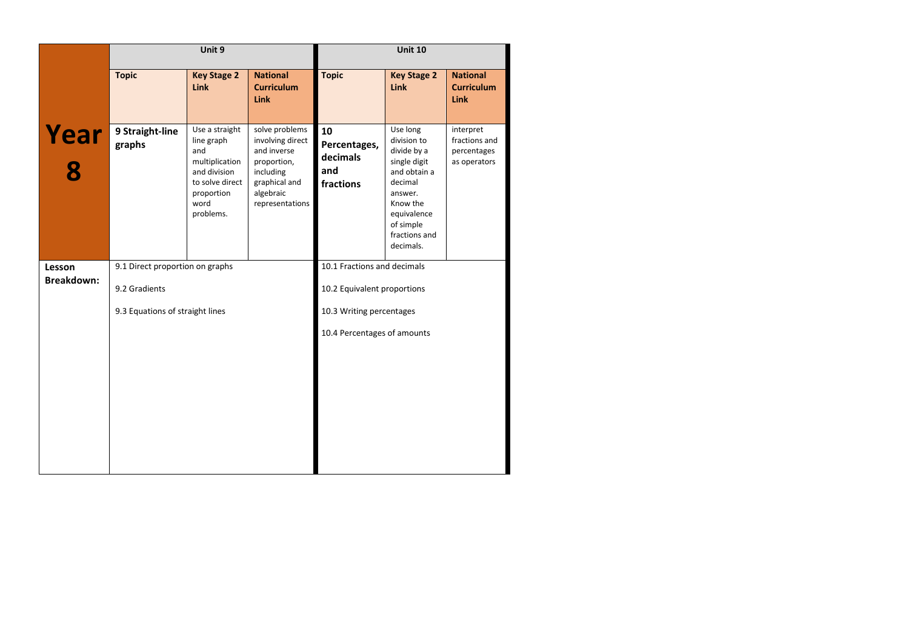|                             |                                 | Unit 9                                                                                                                      |                                                                                                                                |                                                    | <b>Unit 10</b>                                                                                                                                                     |                                                           |
|-----------------------------|---------------------------------|-----------------------------------------------------------------------------------------------------------------------------|--------------------------------------------------------------------------------------------------------------------------------|----------------------------------------------------|--------------------------------------------------------------------------------------------------------------------------------------------------------------------|-----------------------------------------------------------|
|                             | <b>Topic</b>                    | <b>Key Stage 2</b><br><b>Link</b>                                                                                           | <b>National</b><br><b>Curriculum</b><br><b>Link</b>                                                                            | <b>Topic</b>                                       | <b>Key Stage 2</b><br><b>Link</b>                                                                                                                                  | <b>National</b><br><b>Curriculum</b><br><b>Link</b>       |
| Year                        | 9 Straight-line<br>graphs       | Use a straight<br>line graph<br>and<br>multiplication<br>and division<br>to solve direct<br>proportion<br>word<br>problems. | solve problems<br>involving direct<br>and inverse<br>proportion,<br>including<br>graphical and<br>algebraic<br>representations | 10<br>Percentages,<br>decimals<br>and<br>fractions | Use long<br>division to<br>divide by a<br>single digit<br>and obtain a<br>decimal<br>answer.<br>Know the<br>equivalence<br>of simple<br>fractions and<br>decimals. | interpret<br>fractions and<br>percentages<br>as operators |
| Lesson<br><b>Breakdown:</b> | 9.1 Direct proportion on graphs |                                                                                                                             |                                                                                                                                | 10.1 Fractions and decimals                        |                                                                                                                                                                    |                                                           |
|                             | 9.2 Gradients                   |                                                                                                                             |                                                                                                                                | 10.2 Equivalent proportions                        |                                                                                                                                                                    |                                                           |
|                             | 9.3 Equations of straight lines |                                                                                                                             |                                                                                                                                | 10.3 Writing percentages                           |                                                                                                                                                                    |                                                           |
|                             |                                 |                                                                                                                             |                                                                                                                                | 10.4 Percentages of amounts                        |                                                                                                                                                                    |                                                           |
|                             |                                 |                                                                                                                             |                                                                                                                                |                                                    |                                                                                                                                                                    |                                                           |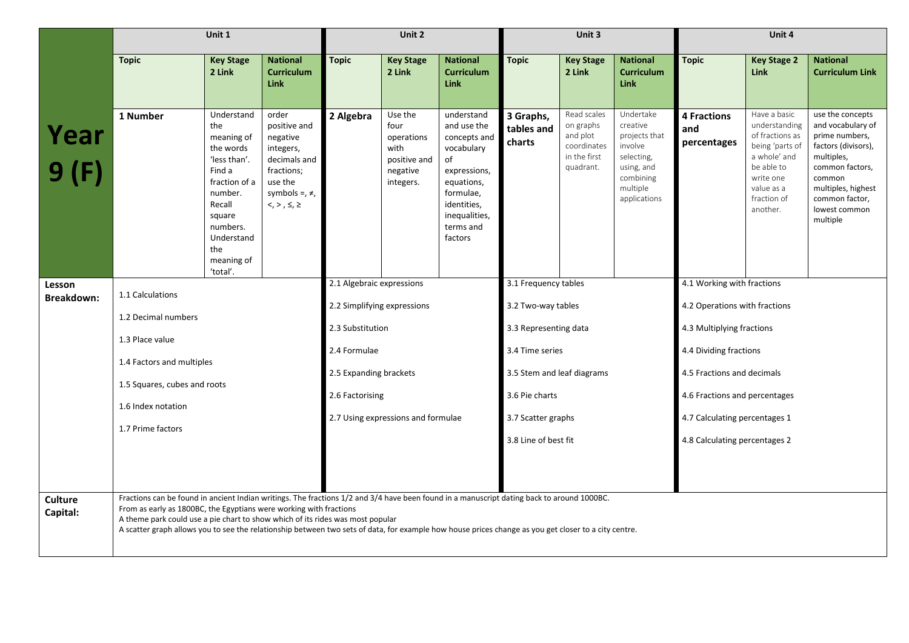|                      | Unit 1<br><b>Topic</b><br><b>National</b><br><b>Key Stage</b>                                                                                                                                                                                                                                                                                                                                                                                              |                                                                                                                                                                                   |                                                                                                                                           |                                    | Unit 2                                                                         |                                                                                                                                                                                      |                                   | Unit 3                                                                           |                                                                                                                                                                                                                                                     |                                          | Unit 4                                                                                                                                                  |                                                                                                                                                                                                |
|----------------------|------------------------------------------------------------------------------------------------------------------------------------------------------------------------------------------------------------------------------------------------------------------------------------------------------------------------------------------------------------------------------------------------------------------------------------------------------------|-----------------------------------------------------------------------------------------------------------------------------------------------------------------------------------|-------------------------------------------------------------------------------------------------------------------------------------------|------------------------------------|--------------------------------------------------------------------------------|--------------------------------------------------------------------------------------------------------------------------------------------------------------------------------------|-----------------------------------|----------------------------------------------------------------------------------|-----------------------------------------------------------------------------------------------------------------------------------------------------------------------------------------------------------------------------------------------------|------------------------------------------|---------------------------------------------------------------------------------------------------------------------------------------------------------|------------------------------------------------------------------------------------------------------------------------------------------------------------------------------------------------|
|                      |                                                                                                                                                                                                                                                                                                                                                                                                                                                            | 2 Link                                                                                                                                                                            | <b>Curriculum</b><br><b>Link</b>                                                                                                          | <b>Topic</b>                       | <b>Key Stage</b><br>2 Link                                                     | <b>National</b><br><b>Curriculum</b><br><b>Link</b>                                                                                                                                  | <b>Topic</b>                      | <b>Key Stage</b><br>2 Link                                                       | <b>National</b><br><b>Curriculum</b><br><b>Link</b>                                                                                                                                                                                                 | <b>Topic</b>                             | <b>Key Stage 2</b><br>Link                                                                                                                              | <b>National</b><br><b>Curriculum Link</b>                                                                                                                                                      |
| Year<br>9(F)         | 1 Number                                                                                                                                                                                                                                                                                                                                                                                                                                                   | Understand<br>the<br>meaning of<br>the words<br>'less than'.<br>Find a<br>fraction of a<br>number.<br>Recall<br>square<br>numbers.<br>Understand<br>the<br>meaning of<br>'total'. | order<br>positive and<br>negative<br>integers,<br>decimals and<br>fractions;<br>use the<br>symbols =, $\neq$ ,<br>$<, >, \le, \ge$        | 2 Algebra                          | Use the<br>four<br>operations<br>with<br>positive and<br>negative<br>integers. | understand<br>and use the<br>concepts and<br>vocabulary<br>of<br>expressions,<br>equations,<br>formulae,<br>identities,<br>inequalities,<br>terms and<br>factors                     | 3 Graphs,<br>tables and<br>charts | Read scales<br>on graphs<br>and plot<br>coordinates<br>in the first<br>quadrant. | Undertake<br>creative<br>projects that<br>involve<br>selecting,<br>using, and<br>combining<br>multiple<br>applications                                                                                                                              | <b>4 Fractions</b><br>and<br>percentages | Have a basic<br>understanding<br>of fractions as<br>being 'parts of<br>a whole' and<br>be able to<br>write one<br>value as a<br>fraction of<br>another. | use the concepts<br>and vocabulary of<br>prime numbers,<br>factors (divisors),<br>multiples,<br>common factors,<br>common<br>multiples, highest<br>common factor,<br>lowest common<br>multiple |
| Lesson<br>Breakdown: | 1.1 Calculations<br>1.2 Decimal numbers<br>1.3 Place value<br>1.4 Factors and multiples<br>1.5 Squares, cubes and roots<br>1.6 Index notation<br>1.7 Prime factors                                                                                                                                                                                                                                                                                         |                                                                                                                                                                                   | 2.1 Algebraic expressions<br>2.2 Simplifying expressions<br>2.3 Substitution<br>2.4 Formulae<br>2.5 Expanding brackets<br>2.6 Factorising | 2.7 Using expressions and formulae |                                                                                | 3.1 Frequency tables<br>3.2 Two-way tables<br>3.3 Representing data<br>3.4 Time series<br>3.5 Stem and leaf diagrams<br>3.6 Pie charts<br>3.7 Scatter graphs<br>3.8 Line of best fit |                                   |                                                                                  | 4.1 Working with fractions<br>4.2 Operations with fractions<br>4.3 Multiplying fractions<br>4.4 Dividing fractions<br>4.5 Fractions and decimals<br>4.6 Fractions and percentages<br>4.7 Calculating percentages 1<br>4.8 Calculating percentages 2 |                                          |                                                                                                                                                         |                                                                                                                                                                                                |
| Culture<br>Capital:  | Fractions can be found in ancient Indian writings. The fractions 1/2 and 3/4 have been found in a manuscript dating back to around 1000BC.<br>From as early as 1800BC, the Egyptians were working with fractions<br>A theme park could use a pie chart to show which of its rides was most popular<br>A scatter graph allows you to see the relationship between two sets of data, for example how house prices change as you get closer to a city centre. |                                                                                                                                                                                   |                                                                                                                                           |                                    |                                                                                |                                                                                                                                                                                      |                                   |                                                                                  |                                                                                                                                                                                                                                                     |                                          |                                                                                                                                                         |                                                                                                                                                                                                |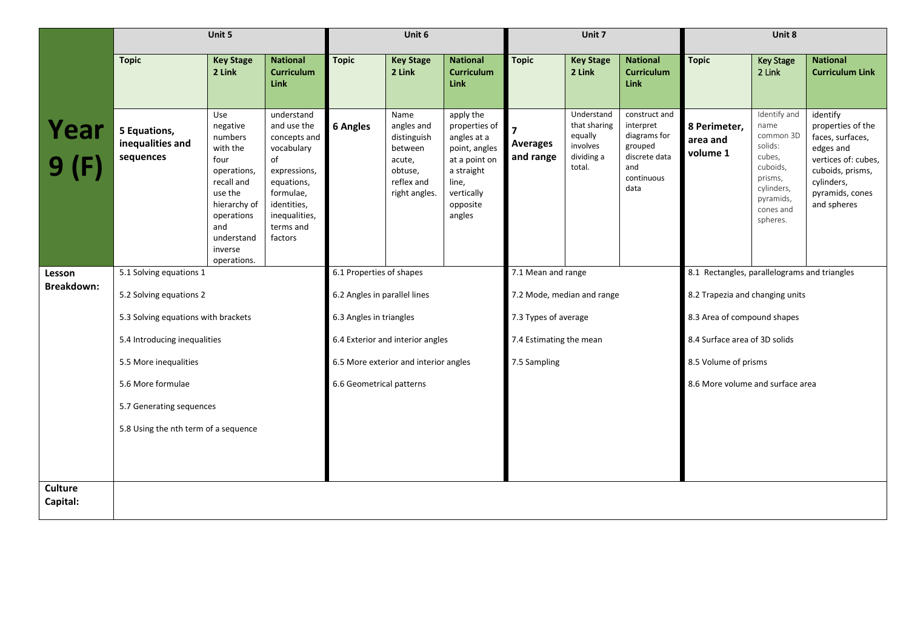|                            |                                               | Unit 5                                                                                                                                                              |                                                                                                                                                                  |                              | Unit 6                                                                                           |                                                                                                                                        |                              | Unit 7                                                                    |                                                                                                     |                                              | Unit 8                                                                                                                            |                                                                                                                                                           |
|----------------------------|-----------------------------------------------|---------------------------------------------------------------------------------------------------------------------------------------------------------------------|------------------------------------------------------------------------------------------------------------------------------------------------------------------|------------------------------|--------------------------------------------------------------------------------------------------|----------------------------------------------------------------------------------------------------------------------------------------|------------------------------|---------------------------------------------------------------------------|-----------------------------------------------------------------------------------------------------|----------------------------------------------|-----------------------------------------------------------------------------------------------------------------------------------|-----------------------------------------------------------------------------------------------------------------------------------------------------------|
|                            | <b>Topic</b>                                  | <b>Key Stage</b><br>2 Link                                                                                                                                          | <b>National</b><br><b>Curriculum</b><br><b>Link</b>                                                                                                              | <b>Topic</b>                 | <b>Key Stage</b><br>2 Link                                                                       | <b>National</b><br><b>Curriculum</b><br>Link                                                                                           | <b>Topic</b>                 | <b>Key Stage</b><br>2 Link                                                | <b>National</b><br><b>Curriculum</b><br><b>Link</b>                                                 | <b>Topic</b>                                 | <b>Key Stage</b><br>2 Link                                                                                                        | <b>National</b><br><b>Curriculum Link</b>                                                                                                                 |
| Year<br>9(F)               | 5 Equations,<br>inequalities and<br>sequences | Use<br>negative<br>numbers<br>with the<br>four<br>operations,<br>recall and<br>use the<br>hierarchy of<br>operations<br>and<br>understand<br>inverse<br>operations. | understand<br>and use the<br>concepts and<br>vocabulary<br>of<br>expressions,<br>equations,<br>formulae,<br>identities,<br>inequalities,<br>terms and<br>factors | <b>6 Angles</b>              | Name<br>angles and<br>distinguish<br>between<br>acute,<br>obtuse,<br>reflex and<br>right angles. | apply the<br>properties of<br>angles at a<br>point, angles<br>at a point on<br>a straight<br>line,<br>vertically<br>opposite<br>angles | <b>Averages</b><br>and range | Understand<br>that sharing<br>equally<br>involves<br>dividing a<br>total. | construct and<br>interpret<br>diagrams for<br>grouped<br>discrete data<br>and<br>continuous<br>data | 8 Perimeter,<br>area and<br>volume 1         | Identify and<br>name<br>common 3D<br>solids:<br>cubes,<br>cuboids,<br>prisms,<br>cylinders,<br>pyramids,<br>cones and<br>spheres. | identify<br>properties of the<br>faces, surfaces,<br>edges and<br>vertices of: cubes,<br>cuboids, prisms,<br>cylinders,<br>pyramids, cones<br>and spheres |
| Lesson                     | 5.1 Solving equations 1                       |                                                                                                                                                                     |                                                                                                                                                                  | 6.1 Properties of shapes     |                                                                                                  |                                                                                                                                        | 7.1 Mean and range           |                                                                           |                                                                                                     | 8.1 Rectangles, parallelograms and triangles |                                                                                                                                   |                                                                                                                                                           |
| Breakdown:                 | 5.2 Solving equations 2                       |                                                                                                                                                                     |                                                                                                                                                                  | 6.2 Angles in parallel lines |                                                                                                  |                                                                                                                                        | 7.2 Mode, median and range   |                                                                           |                                                                                                     | 8.2 Trapezia and changing units              |                                                                                                                                   |                                                                                                                                                           |
|                            | 5.3 Solving equations with brackets           |                                                                                                                                                                     |                                                                                                                                                                  | 6.3 Angles in triangles      |                                                                                                  |                                                                                                                                        | 7.3 Types of average         |                                                                           |                                                                                                     | 8.3 Area of compound shapes                  |                                                                                                                                   |                                                                                                                                                           |
|                            | 5.4 Introducing inequalities                  |                                                                                                                                                                     |                                                                                                                                                                  |                              | 6.4 Exterior and interior angles                                                                 |                                                                                                                                        | 7.4 Estimating the mean      |                                                                           |                                                                                                     | 8.4 Surface area of 3D solids                |                                                                                                                                   |                                                                                                                                                           |
|                            | 5.5 More inequalities                         |                                                                                                                                                                     |                                                                                                                                                                  |                              | 6.5 More exterior and interior angles                                                            |                                                                                                                                        | 7.5 Sampling                 |                                                                           |                                                                                                     | 8.5 Volume of prisms                         |                                                                                                                                   |                                                                                                                                                           |
|                            | 5.6 More formulae                             |                                                                                                                                                                     |                                                                                                                                                                  | 6.6 Geometrical patterns     |                                                                                                  |                                                                                                                                        |                              |                                                                           |                                                                                                     | 8.6 More volume and surface area             |                                                                                                                                   |                                                                                                                                                           |
|                            | 5.7 Generating sequences                      |                                                                                                                                                                     |                                                                                                                                                                  |                              |                                                                                                  |                                                                                                                                        |                              |                                                                           |                                                                                                     |                                              |                                                                                                                                   |                                                                                                                                                           |
|                            | 5.8 Using the nth term of a sequence          |                                                                                                                                                                     |                                                                                                                                                                  |                              |                                                                                                  |                                                                                                                                        |                              |                                                                           |                                                                                                     |                                              |                                                                                                                                   |                                                                                                                                                           |
|                            |                                               |                                                                                                                                                                     |                                                                                                                                                                  |                              |                                                                                                  |                                                                                                                                        |                              |                                                                           |                                                                                                     |                                              |                                                                                                                                   |                                                                                                                                                           |
|                            |                                               |                                                                                                                                                                     |                                                                                                                                                                  |                              |                                                                                                  |                                                                                                                                        |                              |                                                                           |                                                                                                     |                                              |                                                                                                                                   |                                                                                                                                                           |
| <b>Culture</b><br>Capital: |                                               |                                                                                                                                                                     |                                                                                                                                                                  |                              |                                                                                                  |                                                                                                                                        |                              |                                                                           |                                                                                                     |                                              |                                                                                                                                   |                                                                                                                                                           |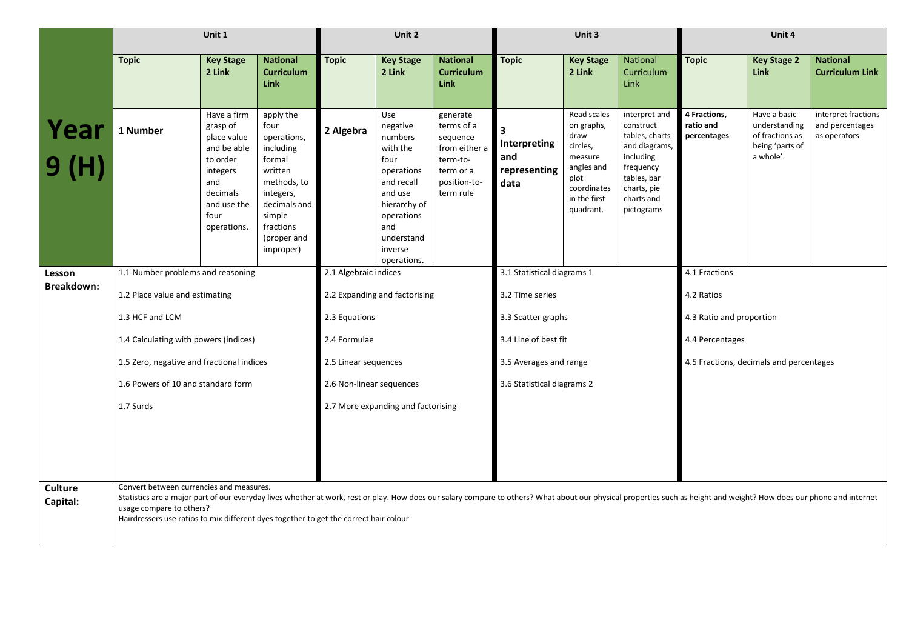|                            | Unit 1                                                                                                                                                                                                                                                                                                                                                                                 |                                                                                                                                        |                                                                                                                                                                   |                          | Unit 2                                                                                                                                                             |                                                                                                           |                                             | Unit 3                                                                                                                     |                                                                                                                                                   |                                          | Unit 4                                                                           |                                                        |
|----------------------------|----------------------------------------------------------------------------------------------------------------------------------------------------------------------------------------------------------------------------------------------------------------------------------------------------------------------------------------------------------------------------------------|----------------------------------------------------------------------------------------------------------------------------------------|-------------------------------------------------------------------------------------------------------------------------------------------------------------------|--------------------------|--------------------------------------------------------------------------------------------------------------------------------------------------------------------|-----------------------------------------------------------------------------------------------------------|---------------------------------------------|----------------------------------------------------------------------------------------------------------------------------|---------------------------------------------------------------------------------------------------------------------------------------------------|------------------------------------------|----------------------------------------------------------------------------------|--------------------------------------------------------|
|                            | <b>Topic</b>                                                                                                                                                                                                                                                                                                                                                                           | <b>Key Stage</b><br>2 Link                                                                                                             | <b>National</b><br><b>Curriculum</b><br><b>Link</b>                                                                                                               | <b>Topic</b>             | <b>Key Stage</b><br>2 Link                                                                                                                                         | <b>National</b><br><b>Curriculum</b><br><b>Link</b>                                                       | <b>Topic</b>                                | <b>Key Stage</b><br>2 Link                                                                                                 | <b>National</b><br>Curriculum<br>Link                                                                                                             | <b>Topic</b>                             | <b>Key Stage 2</b><br>Link                                                       | <b>National</b><br><b>Curriculum Link</b>              |
| Year<br>9 (H)              | 1 Number                                                                                                                                                                                                                                                                                                                                                                               | Have a firm<br>grasp of<br>place value<br>and be able<br>to order<br>integers<br>and<br>decimals<br>and use the<br>four<br>operations. | apply the<br>four<br>operations,<br>including<br>formal<br>written<br>methods, to<br>integers,<br>decimals and<br>simple<br>fractions<br>(proper and<br>improper) | 2 Algebra                | Use<br>negative<br>numbers<br>with the<br>four<br>operations<br>and recall<br>and use<br>hierarchy of<br>operations<br>and<br>understand<br>inverse<br>operations. | generate<br>terms of a<br>sequence<br>from either a<br>term-to-<br>term or a<br>position-to-<br>term rule | Interpreting<br>and<br>representing<br>data | Read scales<br>on graphs,<br>draw<br>circles,<br>measure<br>angles and<br>plot<br>coordinates<br>in the first<br>quadrant. | interpret and<br>construct<br>tables, charts<br>and diagrams,<br>including<br>frequency<br>tables, bar<br>charts, pie<br>charts and<br>pictograms | 4 Fractions,<br>ratio and<br>percentages | Have a basic<br>understanding<br>of fractions as<br>being 'parts of<br>a whole'. | interpret fractions<br>and percentages<br>as operators |
| Lesson                     | 1.1 Number problems and reasoning                                                                                                                                                                                                                                                                                                                                                      |                                                                                                                                        |                                                                                                                                                                   | 2.1 Algebraic indices    |                                                                                                                                                                    |                                                                                                           | 3.1 Statistical diagrams 1                  |                                                                                                                            |                                                                                                                                                   | 4.1 Fractions                            |                                                                                  |                                                        |
| Breakdown:                 |                                                                                                                                                                                                                                                                                                                                                                                        |                                                                                                                                        |                                                                                                                                                                   |                          | 2.2 Expanding and factorising                                                                                                                                      |                                                                                                           | 3.2 Time series                             |                                                                                                                            |                                                                                                                                                   | 4.2 Ratios                               |                                                                                  |                                                        |
|                            | 1.3 HCF and LCM                                                                                                                                                                                                                                                                                                                                                                        | 1.2 Place value and estimating                                                                                                         |                                                                                                                                                                   |                          | 2.3 Equations                                                                                                                                                      |                                                                                                           | 3.3 Scatter graphs                          |                                                                                                                            |                                                                                                                                                   | 4.3 Ratio and proportion                 |                                                                                  |                                                        |
|                            | 1.4 Calculating with powers (indices)                                                                                                                                                                                                                                                                                                                                                  |                                                                                                                                        |                                                                                                                                                                   | 2.4 Formulae             |                                                                                                                                                                    |                                                                                                           | 3.4 Line of best fit                        |                                                                                                                            |                                                                                                                                                   | 4.4 Percentages                          |                                                                                  |                                                        |
|                            | 1.5 Zero, negative and fractional indices                                                                                                                                                                                                                                                                                                                                              |                                                                                                                                        |                                                                                                                                                                   | 2.5 Linear sequences     |                                                                                                                                                                    |                                                                                                           | 3.5 Averages and range                      |                                                                                                                            |                                                                                                                                                   | 4.5 Fractions, decimals and percentages  |                                                                                  |                                                        |
|                            | 1.6 Powers of 10 and standard form                                                                                                                                                                                                                                                                                                                                                     |                                                                                                                                        |                                                                                                                                                                   | 2.6 Non-linear sequences |                                                                                                                                                                    |                                                                                                           | 3.6 Statistical diagrams 2                  |                                                                                                                            |                                                                                                                                                   |                                          |                                                                                  |                                                        |
|                            | 1.7 Surds                                                                                                                                                                                                                                                                                                                                                                              |                                                                                                                                        |                                                                                                                                                                   |                          | 2.7 More expanding and factorising                                                                                                                                 |                                                                                                           |                                             |                                                                                                                            |                                                                                                                                                   |                                          |                                                                                  |                                                        |
|                            |                                                                                                                                                                                                                                                                                                                                                                                        |                                                                                                                                        |                                                                                                                                                                   |                          |                                                                                                                                                                    |                                                                                                           |                                             |                                                                                                                            |                                                                                                                                                   |                                          |                                                                                  |                                                        |
| <b>Culture</b><br>Capital: | Convert between currencies and measures.<br>Statistics are a major part of our everyday lives whether at work, rest or play. How does our salary compare to others? What about our physical properties such as height and weight? How does our phone and internet<br>usage compare to others?<br>Hairdressers use ratios to mix different dyes together to get the correct hair colour |                                                                                                                                        |                                                                                                                                                                   |                          |                                                                                                                                                                    |                                                                                                           |                                             |                                                                                                                            |                                                                                                                                                   |                                          |                                                                                  |                                                        |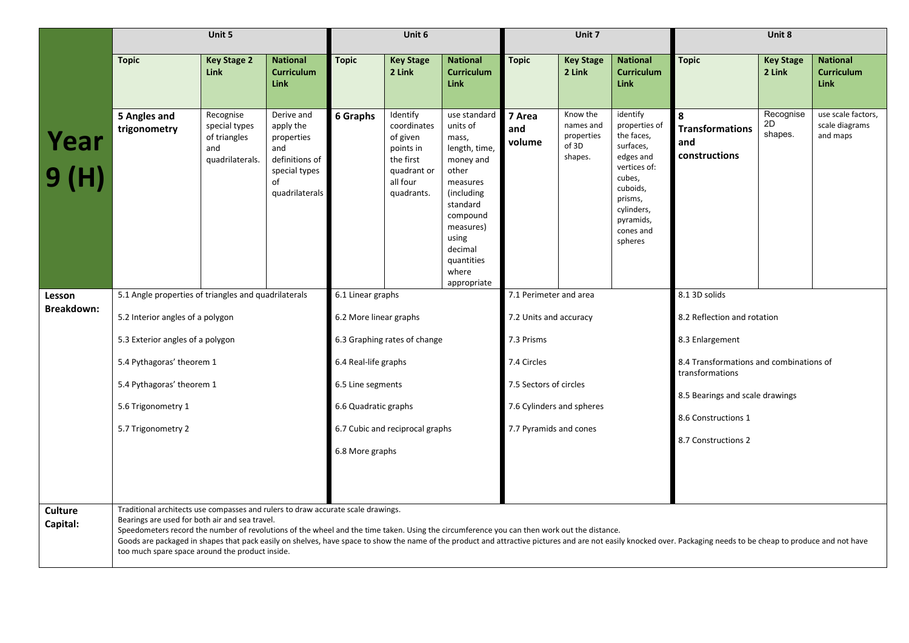|                             |                                                                                                                                                                                                                                                                                                                                                                                                                                                                                                                                                          | Unit 5                                                               |                                                                                                         |                        | Unit 6                                                                                                 |                                                                                                                                                                                                    |                           | Unit 7                                                  |                                                                                                                                                                       |                                                            | Unit 8                     |                                                     |  |
|-----------------------------|----------------------------------------------------------------------------------------------------------------------------------------------------------------------------------------------------------------------------------------------------------------------------------------------------------------------------------------------------------------------------------------------------------------------------------------------------------------------------------------------------------------------------------------------------------|----------------------------------------------------------------------|---------------------------------------------------------------------------------------------------------|------------------------|--------------------------------------------------------------------------------------------------------|----------------------------------------------------------------------------------------------------------------------------------------------------------------------------------------------------|---------------------------|---------------------------------------------------------|-----------------------------------------------------------------------------------------------------------------------------------------------------------------------|------------------------------------------------------------|----------------------------|-----------------------------------------------------|--|
|                             | <b>Topic</b>                                                                                                                                                                                                                                                                                                                                                                                                                                                                                                                                             | <b>Key Stage 2</b><br><b>Link</b>                                    | <b>National</b><br><b>Curriculum</b><br><b>Link</b>                                                     | <b>Topic</b>           | <b>Key Stage</b><br>2 Link                                                                             | <b>National</b><br><b>Curriculum</b><br><b>Link</b>                                                                                                                                                | <b>Topic</b>              | <b>Key Stage</b><br>2 Link                              | <b>National</b><br><b>Curriculum</b><br><b>Link</b>                                                                                                                   | <b>Topic</b>                                               | <b>Key Stage</b><br>2 Link | <b>National</b><br><b>Curriculum</b><br><b>Link</b> |  |
| Year<br>9 (H)               | 5 Angles and<br>trigonometry                                                                                                                                                                                                                                                                                                                                                                                                                                                                                                                             | Recognise<br>special types<br>of triangles<br>and<br>quadrilaterals. | Derive and<br>apply the<br>properties<br>and<br>definitions of<br>special types<br>of<br>quadrilaterals | 6 Graphs               | Identify<br>coordinates<br>of given<br>points in<br>the first<br>quadrant or<br>all four<br>quadrants. | use standard<br>units of<br>mass,<br>length, time,<br>money and<br>other<br>measures<br>(including)<br>standard<br>compound<br>measures)<br>using<br>decimal<br>quantities<br>where<br>appropriate | 7 Area<br>and<br>volume   | Know the<br>names and<br>properties<br>of 3D<br>shapes. | identify<br>properties of<br>the faces,<br>surfaces,<br>edges and<br>vertices of:<br>cubes,<br>cuboids,<br>prisms,<br>cylinders,<br>pyramids,<br>cones and<br>spheres | 8<br><b>Transformations</b><br>and<br>constructions        | Recognise<br>2D<br>shapes. | use scale factors,<br>scale diagrams<br>and maps    |  |
| Lesson<br><b>Breakdown:</b> | 5.1 Angle properties of triangles and quadrilaterals                                                                                                                                                                                                                                                                                                                                                                                                                                                                                                     |                                                                      |                                                                                                         | 6.1 Linear graphs      |                                                                                                        |                                                                                                                                                                                                    | 7.1 Perimeter and area    |                                                         |                                                                                                                                                                       | 8.1 3D solids                                              |                            |                                                     |  |
|                             | 5.2 Interior angles of a polygon                                                                                                                                                                                                                                                                                                                                                                                                                                                                                                                         |                                                                      |                                                                                                         | 6.2 More linear graphs |                                                                                                        |                                                                                                                                                                                                    | 7.2 Units and accuracy    |                                                         |                                                                                                                                                                       | 8.2 Reflection and rotation                                |                            |                                                     |  |
|                             | 5.3 Exterior angles of a polygon                                                                                                                                                                                                                                                                                                                                                                                                                                                                                                                         |                                                                      |                                                                                                         |                        | 6.3 Graphing rates of change                                                                           |                                                                                                                                                                                                    | 7.3 Prisms                |                                                         |                                                                                                                                                                       | 8.3 Enlargement                                            |                            |                                                     |  |
|                             | 5.4 Pythagoras' theorem 1                                                                                                                                                                                                                                                                                                                                                                                                                                                                                                                                |                                                                      |                                                                                                         | 6.4 Real-life graphs   |                                                                                                        |                                                                                                                                                                                                    | 7.4 Circles               |                                                         |                                                                                                                                                                       | 8.4 Transformations and combinations of<br>transformations |                            |                                                     |  |
|                             | 5.4 Pythagoras' theorem 1                                                                                                                                                                                                                                                                                                                                                                                                                                                                                                                                |                                                                      |                                                                                                         | 6.5 Line segments      |                                                                                                        |                                                                                                                                                                                                    | 7.5 Sectors of circles    |                                                         |                                                                                                                                                                       | 8.5 Bearings and scale drawings                            |                            |                                                     |  |
|                             | 5.6 Trigonometry 1                                                                                                                                                                                                                                                                                                                                                                                                                                                                                                                                       |                                                                      |                                                                                                         | 6.6 Quadratic graphs   |                                                                                                        |                                                                                                                                                                                                    | 7.6 Cylinders and spheres |                                                         |                                                                                                                                                                       | 8.6 Constructions 1                                        |                            |                                                     |  |
|                             | 5.7 Trigonometry 2                                                                                                                                                                                                                                                                                                                                                                                                                                                                                                                                       |                                                                      |                                                                                                         |                        | 6.7 Cubic and reciprocal graphs                                                                        |                                                                                                                                                                                                    | 7.7 Pyramids and cones    |                                                         |                                                                                                                                                                       | 8.7 Constructions 2                                        |                            |                                                     |  |
|                             |                                                                                                                                                                                                                                                                                                                                                                                                                                                                                                                                                          |                                                                      |                                                                                                         | 6.8 More graphs        |                                                                                                        |                                                                                                                                                                                                    |                           |                                                         |                                                                                                                                                                       |                                                            |                            |                                                     |  |
|                             |                                                                                                                                                                                                                                                                                                                                                                                                                                                                                                                                                          |                                                                      |                                                                                                         |                        |                                                                                                        |                                                                                                                                                                                                    |                           |                                                         |                                                                                                                                                                       |                                                            |                            |                                                     |  |
| <b>Culture</b><br>Capital:  | Traditional architects use compasses and rulers to draw accurate scale drawings.<br>Bearings are used for both air and sea travel.<br>Speedometers record the number of revolutions of the wheel and the time taken. Using the circumference you can then work out the distance.<br>Goods are packaged in shapes that pack easily on shelves, have space to show the name of the product and attractive pictures and are not easily knocked over. Packaging needs to be cheap to produce and not have<br>too much spare space around the product inside. |                                                                      |                                                                                                         |                        |                                                                                                        |                                                                                                                                                                                                    |                           |                                                         |                                                                                                                                                                       |                                                            |                            |                                                     |  |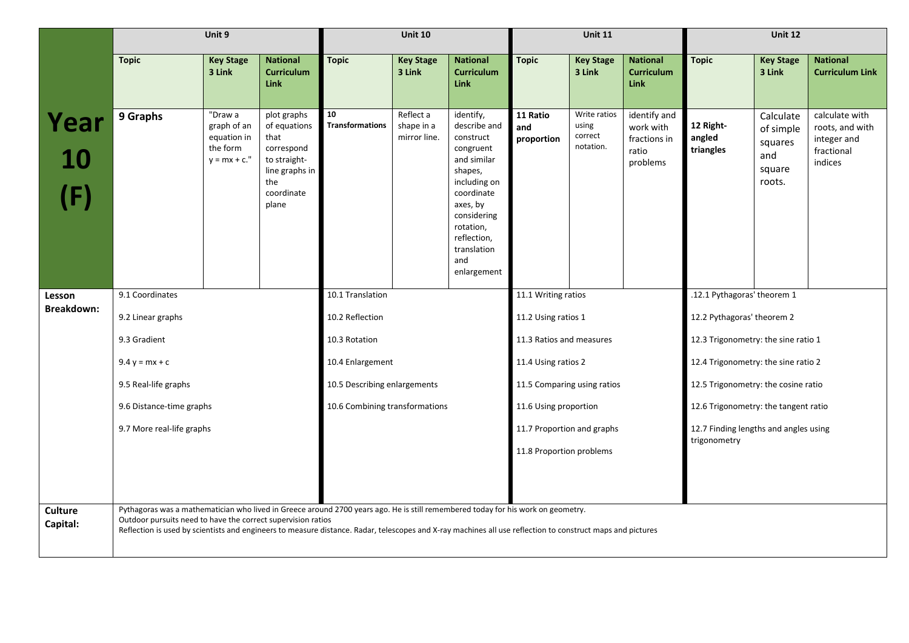|                             | Unit 9<br><b>Topic</b><br><b>National</b><br><b>Key Stage</b>                                                                                                                                    |                                                                      |                                                                                                                   |                                | <b>Unit 10</b>                          |                                                                                                                                                                                                         |                               | <b>Unit 11</b>                                |                                                                |                                                       | <b>Unit 12</b>                                               |                                                                           |
|-----------------------------|--------------------------------------------------------------------------------------------------------------------------------------------------------------------------------------------------|----------------------------------------------------------------------|-------------------------------------------------------------------------------------------------------------------|--------------------------------|-----------------------------------------|---------------------------------------------------------------------------------------------------------------------------------------------------------------------------------------------------------|-------------------------------|-----------------------------------------------|----------------------------------------------------------------|-------------------------------------------------------|--------------------------------------------------------------|---------------------------------------------------------------------------|
|                             |                                                                                                                                                                                                  | 3 Link                                                               | <b>Curriculum</b><br><b>Link</b>                                                                                  | <b>Topic</b>                   | <b>Key Stage</b><br>3 Link              | <b>National</b><br><b>Curriculum</b><br><b>Link</b>                                                                                                                                                     | <b>Topic</b>                  | <b>Key Stage</b><br>3 Link                    | <b>National</b><br><b>Curriculum</b><br><b>Link</b>            | <b>Topic</b>                                          | <b>Key Stage</b><br>3 Link                                   | <b>National</b><br><b>Curriculum Link</b>                                 |
| Year                        | 9 Graphs                                                                                                                                                                                         | "Draw a<br>graph of an<br>equation in<br>the form<br>$y = mx + c.$ " | plot graphs<br>of equations<br>that<br>correspond<br>to straight-<br>line graphs in<br>the<br>coordinate<br>plane | 10<br><b>Transformations</b>   | Reflect a<br>shape in a<br>mirror line. | identify,<br>describe and<br>construct<br>congruent<br>and similar<br>shapes,<br>including on<br>coordinate<br>axes, by<br>considering<br>rotation,<br>reflection,<br>translation<br>and<br>enlargement | 11 Ratio<br>and<br>proportion | Write ratios<br>using<br>correct<br>notation. | identify and<br>work with<br>fractions in<br>ratio<br>problems | 12 Right-<br>angled<br>triangles                      | Calculate<br>of simple<br>squares<br>and<br>square<br>roots. | calculate with<br>roots, and with<br>integer and<br>fractional<br>indices |
| Lesson<br><b>Breakdown:</b> | 9.1 Coordinates                                                                                                                                                                                  |                                                                      | 10.1 Translation                                                                                                  |                                |                                         | 11.1 Writing ratios                                                                                                                                                                                     |                               |                                               | .12.1 Pythagoras' theorem 1                                    |                                                       |                                                              |                                                                           |
|                             | 9.2 Linear graphs                                                                                                                                                                                |                                                                      |                                                                                                                   | 10.2 Reflection                |                                         |                                                                                                                                                                                                         | 11.2 Using ratios 1           |                                               |                                                                | 12.2 Pythagoras' theorem 2                            |                                                              |                                                                           |
|                             | 9.3 Gradient                                                                                                                                                                                     |                                                                      |                                                                                                                   | 10.3 Rotation                  |                                         |                                                                                                                                                                                                         | 11.3 Ratios and measures      |                                               |                                                                | 12.3 Trigonometry: the sine ratio 1                   |                                                              |                                                                           |
|                             | $9.4 y = mx + c$                                                                                                                                                                                 |                                                                      |                                                                                                                   | 10.4 Enlargement               |                                         |                                                                                                                                                                                                         | 11.4 Using ratios 2           |                                               |                                                                | 12.4 Trigonometry: the sine ratio 2                   |                                                              |                                                                           |
|                             | 9.5 Real-life graphs                                                                                                                                                                             |                                                                      |                                                                                                                   | 10.5 Describing enlargements   |                                         |                                                                                                                                                                                                         | 11.5 Comparing using ratios   |                                               |                                                                | 12.5 Trigonometry: the cosine ratio                   |                                                              |                                                                           |
|                             | 9.6 Distance-time graphs                                                                                                                                                                         |                                                                      |                                                                                                                   | 10.6 Combining transformations |                                         |                                                                                                                                                                                                         | 11.6 Using proportion         |                                               |                                                                | 12.6 Trigonometry: the tangent ratio                  |                                                              |                                                                           |
|                             | 9.7 More real-life graphs                                                                                                                                                                        |                                                                      |                                                                                                                   |                                |                                         |                                                                                                                                                                                                         | 11.7 Proportion and graphs    |                                               |                                                                | 12.7 Finding lengths and angles using<br>trigonometry |                                                              |                                                                           |
|                             |                                                                                                                                                                                                  |                                                                      |                                                                                                                   |                                |                                         |                                                                                                                                                                                                         | 11.8 Proportion problems      |                                               |                                                                |                                                       |                                                              |                                                                           |
|                             |                                                                                                                                                                                                  |                                                                      |                                                                                                                   |                                |                                         |                                                                                                                                                                                                         |                               |                                               |                                                                |                                                       |                                                              |                                                                           |
| <b>Culture</b>              | Pythagoras was a mathematician who lived in Greece around 2700 years ago. He is still remembered today for his work on geometry.<br>Outdoor pursuits need to have the correct supervision ratios |                                                                      |                                                                                                                   |                                |                                         |                                                                                                                                                                                                         |                               |                                               |                                                                |                                                       |                                                              |                                                                           |
| Capital:                    | Reflection is used by scientists and engineers to measure distance. Radar, telescopes and X-ray machines all use reflection to construct maps and pictures                                       |                                                                      |                                                                                                                   |                                |                                         |                                                                                                                                                                                                         |                               |                                               |                                                                |                                                       |                                                              |                                                                           |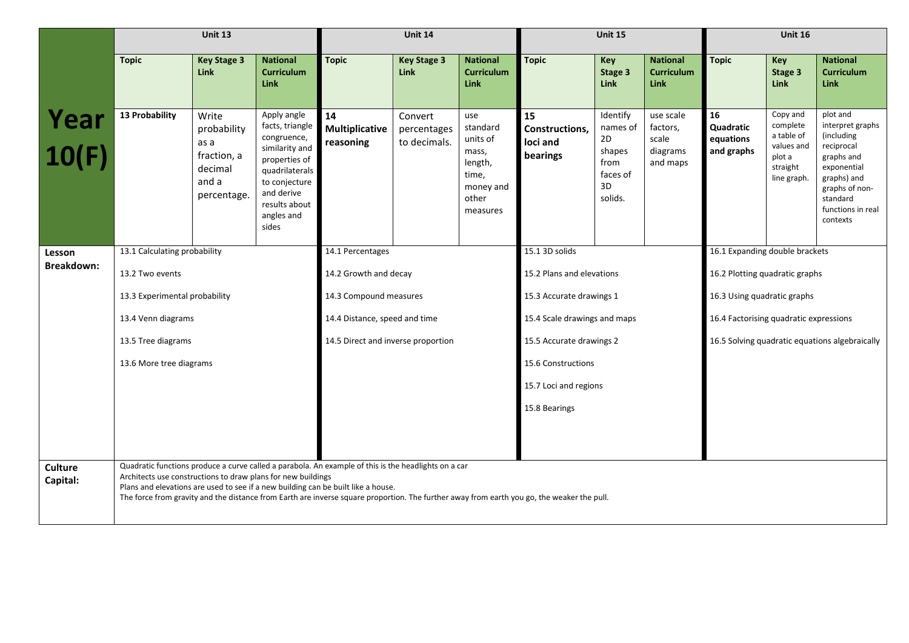|                            |                                                                                                                                                                                                                                                                                                                                                                                                         | Unit 13                                                                        |                                                                                                                                                                           |                                          | Unit 14                                |                                                                                            |                                              | <b>Unit 15</b>                                                            |                                                        |                                            | <b>Unit 16</b>                                                                        |                                                                                                                                                                     |
|----------------------------|---------------------------------------------------------------------------------------------------------------------------------------------------------------------------------------------------------------------------------------------------------------------------------------------------------------------------------------------------------------------------------------------------------|--------------------------------------------------------------------------------|---------------------------------------------------------------------------------------------------------------------------------------------------------------------------|------------------------------------------|----------------------------------------|--------------------------------------------------------------------------------------------|----------------------------------------------|---------------------------------------------------------------------------|--------------------------------------------------------|--------------------------------------------|---------------------------------------------------------------------------------------|---------------------------------------------------------------------------------------------------------------------------------------------------------------------|
|                            | <b>Topic</b>                                                                                                                                                                                                                                                                                                                                                                                            | <b>Key Stage 3</b><br>Link                                                     | <b>National</b><br><b>Curriculum</b><br><b>Link</b>                                                                                                                       | <b>Topic</b>                             | <b>Key Stage 3</b><br>Link             | <b>National</b><br><b>Curriculum</b><br>Link                                               | <b>Topic</b>                                 | Key<br>Stage 3<br><b>Link</b>                                             | <b>National</b><br><b>Curriculum</b><br><b>Link</b>    | <b>Topic</b>                               | Key<br>Stage 3<br><b>Link</b>                                                         | <b>National</b><br><b>Curriculum</b><br>Link                                                                                                                        |
| Year<br>10(F)              | 13 Probability                                                                                                                                                                                                                                                                                                                                                                                          | Write<br>probability<br>as a<br>fraction, a<br>decimal<br>and a<br>percentage. | Apply angle<br>facts, triangle<br>congruence,<br>similarity and<br>properties of<br>quadrilaterals<br>to conjecture<br>and derive<br>results about<br>angles and<br>sides | 14<br><b>Multiplicative</b><br>reasoning | Convert<br>percentages<br>to decimals. | use<br>standard<br>units of<br>mass,<br>length,<br>time,<br>money and<br>other<br>measures | 15<br>Constructions,<br>loci and<br>bearings | Identify<br>names of<br>2D<br>shapes<br>from<br>faces of<br>3D<br>solids. | use scale<br>factors,<br>scale<br>diagrams<br>and maps | 16<br>Quadratic<br>equations<br>and graphs | Copy and<br>complete<br>a table of<br>values and<br>plot a<br>straight<br>line graph. | plot and<br>interpret graphs<br>(including<br>reciprocal<br>graphs and<br>exponential<br>graphs) and<br>graphs of non-<br>standard<br>functions in real<br>contexts |
| Lesson                     | 13.1 Calculating probability                                                                                                                                                                                                                                                                                                                                                                            |                                                                                |                                                                                                                                                                           | 14.1 Percentages                         |                                        |                                                                                            | 15.1 3D solids                               |                                                                           |                                                        | 16.1 Expanding double brackets             |                                                                                       |                                                                                                                                                                     |
| <b>Breakdown:</b>          | 13.2 Two events                                                                                                                                                                                                                                                                                                                                                                                         |                                                                                |                                                                                                                                                                           | 14.2 Growth and decay                    |                                        |                                                                                            | 15.2 Plans and elevations                    |                                                                           |                                                        | 16.2 Plotting quadratic graphs             |                                                                                       |                                                                                                                                                                     |
|                            | 13.3 Experimental probability                                                                                                                                                                                                                                                                                                                                                                           |                                                                                |                                                                                                                                                                           | 14.3 Compound measures                   |                                        |                                                                                            | 15.3 Accurate drawings 1                     |                                                                           |                                                        | 16.3 Using quadratic graphs                |                                                                                       |                                                                                                                                                                     |
|                            | 13.4 Venn diagrams                                                                                                                                                                                                                                                                                                                                                                                      |                                                                                |                                                                                                                                                                           | 14.4 Distance, speed and time            |                                        |                                                                                            | 15.4 Scale drawings and maps                 |                                                                           |                                                        | 16.4 Factorising quadratic expressions     |                                                                                       |                                                                                                                                                                     |
|                            | 13.5 Tree diagrams                                                                                                                                                                                                                                                                                                                                                                                      |                                                                                |                                                                                                                                                                           | 14.5 Direct and inverse proportion       |                                        |                                                                                            | 15.5 Accurate drawings 2                     |                                                                           |                                                        |                                            |                                                                                       | 16.5 Solving quadratic equations algebraically                                                                                                                      |
|                            | 13.6 More tree diagrams                                                                                                                                                                                                                                                                                                                                                                                 |                                                                                |                                                                                                                                                                           |                                          |                                        |                                                                                            | 15.6 Constructions                           |                                                                           |                                                        |                                            |                                                                                       |                                                                                                                                                                     |
|                            |                                                                                                                                                                                                                                                                                                                                                                                                         |                                                                                |                                                                                                                                                                           |                                          |                                        |                                                                                            | 15.7 Loci and regions                        |                                                                           |                                                        |                                            |                                                                                       |                                                                                                                                                                     |
|                            |                                                                                                                                                                                                                                                                                                                                                                                                         |                                                                                |                                                                                                                                                                           |                                          |                                        |                                                                                            | 15.8 Bearings                                |                                                                           |                                                        |                                            |                                                                                       |                                                                                                                                                                     |
|                            |                                                                                                                                                                                                                                                                                                                                                                                                         |                                                                                |                                                                                                                                                                           |                                          |                                        |                                                                                            |                                              |                                                                           |                                                        |                                            |                                                                                       |                                                                                                                                                                     |
| <b>Culture</b><br>Capital: | Quadratic functions produce a curve called a parabola. An example of this is the headlights on a car<br>Architects use constructions to draw plans for new buildings<br>Plans and elevations are used to see if a new building can be built like a house.<br>The force from gravity and the distance from Earth are inverse square proportion. The further away from earth you go, the weaker the pull. |                                                                                |                                                                                                                                                                           |                                          |                                        |                                                                                            |                                              |                                                                           |                                                        |                                            |                                                                                       |                                                                                                                                                                     |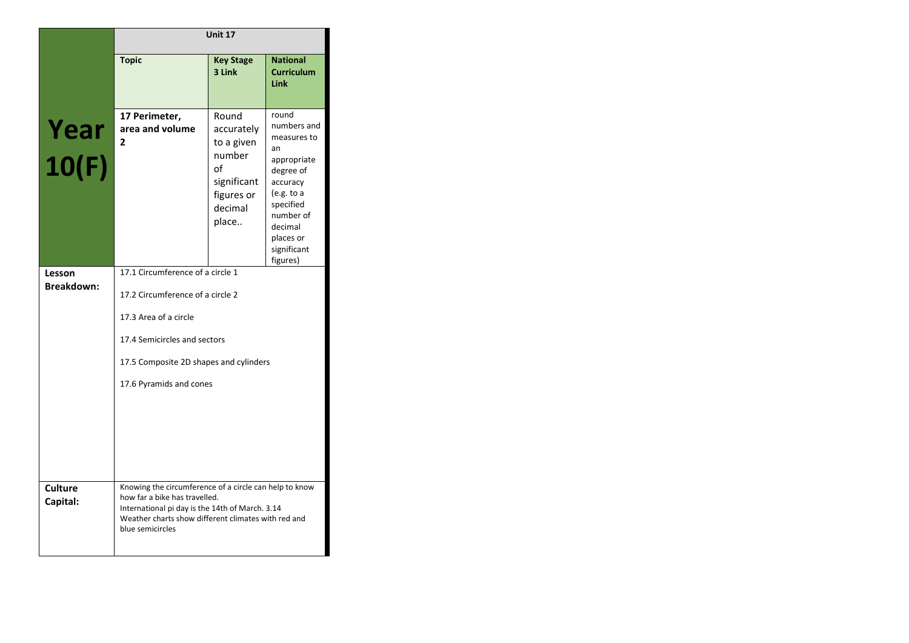|                             | Unit 17                                                                                                                                                                                                               |                                                                                                    |                                                                                                                                                                              |  |  |  |  |
|-----------------------------|-----------------------------------------------------------------------------------------------------------------------------------------------------------------------------------------------------------------------|----------------------------------------------------------------------------------------------------|------------------------------------------------------------------------------------------------------------------------------------------------------------------------------|--|--|--|--|
|                             | <b>Topic</b>                                                                                                                                                                                                          | <b>Key Stage</b><br>3 Link                                                                         | <b>National</b><br><b>Curriculum</b><br>Link                                                                                                                                 |  |  |  |  |
| Year<br>10(F)               | 17 Perimeter,<br>area and volume<br>$\overline{2}$                                                                                                                                                                    | Round<br>accurately<br>to a given<br>number<br>of<br>significant<br>figures or<br>decimal<br>place | round<br>numbers and<br>measures to<br>an<br>appropriate<br>degree of<br>accuracy<br>(e.g. to a<br>specified<br>number of<br>decimal<br>places or<br>significant<br>figures) |  |  |  |  |
| Lesson<br><b>Breakdown:</b> | 17.1 Circumference of a circle 1<br>17.2 Circumference of a circle 2<br>17.3 Area of a circle<br>17.4 Semicircles and sectors<br>17.5 Composite 2D shapes and cylinders<br>17.6 Pyramids and cones                    |                                                                                                    |                                                                                                                                                                              |  |  |  |  |
| <b>Culture</b><br>Capital:  | Knowing the circumference of a circle can help to know<br>how far a bike has travelled.<br>International pi day is the 14th of March. 3.14<br>Weather charts show different climates with red and<br>blue semicircles |                                                                                                    |                                                                                                                                                                              |  |  |  |  |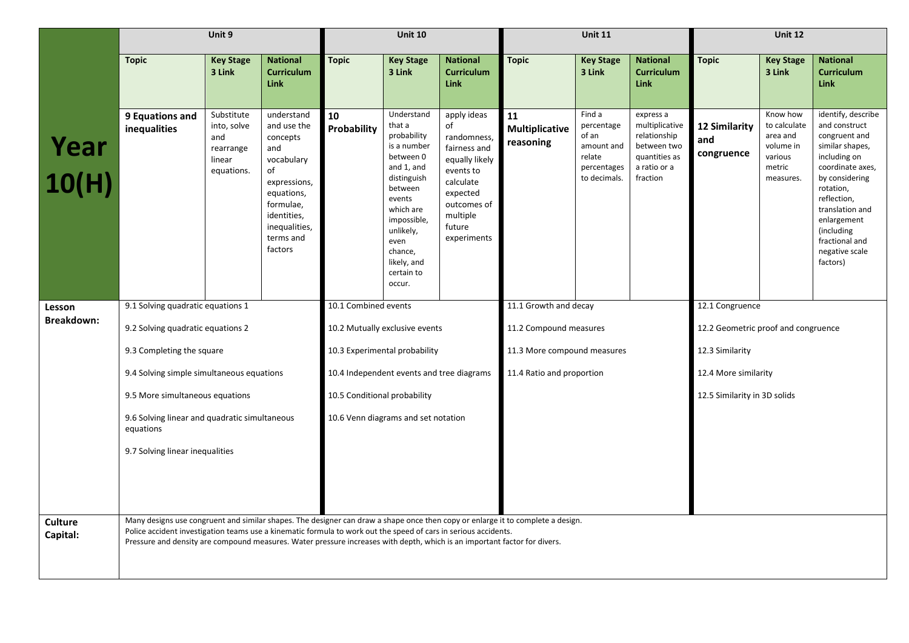|                             |                                                                                                                                                                                                                                                                                                                                                                                 | Unit 9                                                                |                                                                                                                                                                     |                              | <b>Unit 10</b>                                                                                                                                                                                                       |                                                                                                                                                             |                                                          | <b>Unit 11</b>                                                                       |                                                                                                         | <b>Unit 12</b>                          |                                                                                     |                                                                                                                                                                                                                                                           |
|-----------------------------|---------------------------------------------------------------------------------------------------------------------------------------------------------------------------------------------------------------------------------------------------------------------------------------------------------------------------------------------------------------------------------|-----------------------------------------------------------------------|---------------------------------------------------------------------------------------------------------------------------------------------------------------------|------------------------------|----------------------------------------------------------------------------------------------------------------------------------------------------------------------------------------------------------------------|-------------------------------------------------------------------------------------------------------------------------------------------------------------|----------------------------------------------------------|--------------------------------------------------------------------------------------|---------------------------------------------------------------------------------------------------------|-----------------------------------------|-------------------------------------------------------------------------------------|-----------------------------------------------------------------------------------------------------------------------------------------------------------------------------------------------------------------------------------------------------------|
|                             | <b>Topic</b>                                                                                                                                                                                                                                                                                                                                                                    | <b>Key Stage</b><br>3 Link                                            | <b>National</b><br><b>Curriculum</b><br><b>Link</b>                                                                                                                 | <b>Topic</b>                 | <b>Key Stage</b><br>3 Link                                                                                                                                                                                           | <b>National</b><br><b>Curriculum</b><br><b>Link</b>                                                                                                         | <b>Topic</b>                                             | <b>Key Stage</b><br>3 Link                                                           | <b>National</b><br><b>Curriculum</b><br><b>Link</b>                                                     | <b>Topic</b>                            | <b>Key Stage</b><br>3 Link                                                          | <b>National</b><br><b>Curriculum</b><br><b>Link</b>                                                                                                                                                                                                       |
| Year<br>10(H)               | 9 Equations and<br>inequalities                                                                                                                                                                                                                                                                                                                                                 | Substitute<br>into, solve<br>and<br>rearrange<br>linear<br>equations. | understand<br>and use the<br>concepts<br>and<br>vocabulary<br>of<br>expressions,<br>equations,<br>formulae,<br>identities,<br>inequalities,<br>terms and<br>factors | 10<br>Probability            | Understand<br>that a<br>probability<br>is a number<br>between 0<br>and 1, and<br>distinguish<br>between<br>events<br>which are<br>impossible,<br>unlikely,<br>even<br>chance,<br>likely, and<br>certain to<br>occur. | apply ideas<br>of<br>randomness<br>fairness and<br>equally likely<br>events to<br>calculate<br>expected<br>outcomes of<br>multiple<br>future<br>experiments | 11<br><b>Multiplicative</b><br>reasoning                 | Find a<br>percentage<br>of an<br>amount and<br>relate<br>percentages<br>to decimals. | express a<br>multiplicative<br>relationship<br>between two<br>quantities as<br>a ratio or a<br>fraction | 12 Similarity<br>and<br>congruence      | Know how<br>to calculate<br>area and<br>volume in<br>various<br>metric<br>measures. | identify, describe<br>and construct<br>congruent and<br>similar shapes,<br>including on<br>coordinate axes,<br>by considering<br>rotation,<br>reflection,<br>translation and<br>enlargement<br>(including<br>fractional and<br>negative scale<br>factors) |
| Lesson<br><b>Breakdown:</b> | 9.1 Solving quadratic equations 1                                                                                                                                                                                                                                                                                                                                               |                                                                       |                                                                                                                                                                     | 10.1 Combined events         |                                                                                                                                                                                                                      |                                                                                                                                                             | 11.1 Growth and decay                                    |                                                                                      |                                                                                                         | $12.1$ Congruence                       |                                                                                     |                                                                                                                                                                                                                                                           |
|                             | 9.2 Solving quadratic equations 2                                                                                                                                                                                                                                                                                                                                               |                                                                       |                                                                                                                                                                     |                              | 10.2 Mutually exclusive events                                                                                                                                                                                       |                                                                                                                                                             | 11.2 Compound measures                                   |                                                                                      |                                                                                                         | 12.2 Geometric proof and congruence     |                                                                                     |                                                                                                                                                                                                                                                           |
|                             | 9.3 Completing the square<br>9.4 Solving simple simultaneous equations                                                                                                                                                                                                                                                                                                          |                                                                       |                                                                                                                                                                     |                              | 10.3 Experimental probability<br>10.4 Independent events and tree diagrams                                                                                                                                           |                                                                                                                                                             | 11.3 More compound measures<br>11.4 Ratio and proportion |                                                                                      |                                                                                                         | 12.3 Similarity<br>12.4 More similarity |                                                                                     |                                                                                                                                                                                                                                                           |
|                             | 9.5 More simultaneous equations                                                                                                                                                                                                                                                                                                                                                 |                                                                       |                                                                                                                                                                     | 10.5 Conditional probability |                                                                                                                                                                                                                      |                                                                                                                                                             |                                                          |                                                                                      |                                                                                                         | 12.5 Similarity in 3D solids            |                                                                                     |                                                                                                                                                                                                                                                           |
|                             | 9.6 Solving linear and quadratic simultaneous<br>equations                                                                                                                                                                                                                                                                                                                      |                                                                       |                                                                                                                                                                     |                              | 10.6 Venn diagrams and set notation                                                                                                                                                                                  |                                                                                                                                                             |                                                          |                                                                                      |                                                                                                         |                                         |                                                                                     |                                                                                                                                                                                                                                                           |
|                             | 9.7 Solving linear inequalities                                                                                                                                                                                                                                                                                                                                                 |                                                                       |                                                                                                                                                                     |                              |                                                                                                                                                                                                                      |                                                                                                                                                             |                                                          |                                                                                      |                                                                                                         |                                         |                                                                                     |                                                                                                                                                                                                                                                           |
|                             |                                                                                                                                                                                                                                                                                                                                                                                 |                                                                       |                                                                                                                                                                     |                              |                                                                                                                                                                                                                      |                                                                                                                                                             |                                                          |                                                                                      |                                                                                                         |                                         |                                                                                     |                                                                                                                                                                                                                                                           |
| <b>Culture</b><br>Capital:  | Many designs use congruent and similar shapes. The designer can draw a shape once then copy or enlarge it to complete a design.<br>Police accident investigation teams use a kinematic formula to work out the speed of cars in serious accidents.<br>Pressure and density are compound measures. Water pressure increases with depth, which is an important factor for divers. |                                                                       |                                                                                                                                                                     |                              |                                                                                                                                                                                                                      |                                                                                                                                                             |                                                          |                                                                                      |                                                                                                         |                                         |                                                                                     |                                                                                                                                                                                                                                                           |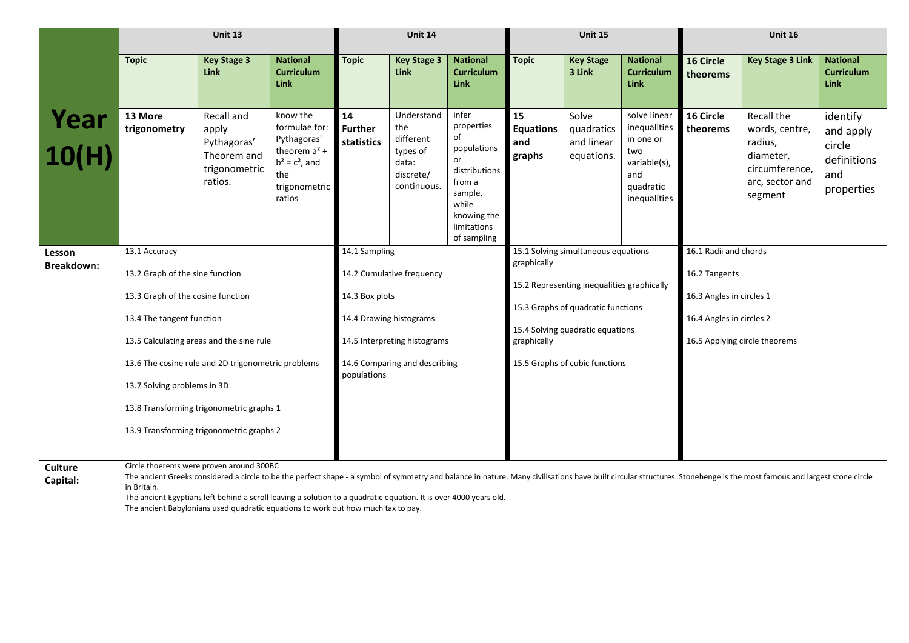|                            |                                                                                                                                                                                                                                                                                                                                             | Unit 13                                                                       |                                                                                                                   |                                                                                            | Unit 14                                                                         |                                                                                                                                                                                                                             |                                         | <b>Unit 15</b>                                                                                                                  |                                                                                                      |                       | <b>Unit 16</b>                                                                                                                                                                                                         |                                                                     |
|----------------------------|---------------------------------------------------------------------------------------------------------------------------------------------------------------------------------------------------------------------------------------------------------------------------------------------------------------------------------------------|-------------------------------------------------------------------------------|-------------------------------------------------------------------------------------------------------------------|--------------------------------------------------------------------------------------------|---------------------------------------------------------------------------------|-----------------------------------------------------------------------------------------------------------------------------------------------------------------------------------------------------------------------------|-----------------------------------------|---------------------------------------------------------------------------------------------------------------------------------|------------------------------------------------------------------------------------------------------|-----------------------|------------------------------------------------------------------------------------------------------------------------------------------------------------------------------------------------------------------------|---------------------------------------------------------------------|
|                            | <b>Topic</b>                                                                                                                                                                                                                                                                                                                                | <b>Key Stage 3</b><br><b>Link</b>                                             | <b>National</b><br><b>Curriculum</b><br><b>Link</b>                                                               | <b>Topic</b>                                                                               | <b>Key Stage 3</b><br><b>Link</b>                                               | <b>National</b><br><b>Curriculum</b><br>Link                                                                                                                                                                                | <b>Topic</b>                            | <b>Key Stage</b><br>3 Link                                                                                                      | <b>National</b><br><b>Curriculum</b><br><b>Link</b>                                                  | 16 Circle<br>theorems | <b>Key Stage 3 Link</b>                                                                                                                                                                                                | <b>National</b><br><b>Curriculum</b><br><b>Link</b>                 |
| <b>Year</b><br>10(H)       | 13 More<br>trigonometry                                                                                                                                                                                                                                                                                                                     | Recall and<br>apply<br>Pythagoras'<br>Theorem and<br>trigonometric<br>ratios. | know the<br>formulae for:<br>Pythagoras'<br>theorem $a2$ +<br>$b^2 = c^2$ , and<br>the<br>trigonometric<br>ratios | 14<br><b>Further</b><br><b>statistics</b>                                                  | Understand<br>the<br>different<br>types of<br>data:<br>discrete/<br>continuous. | infer<br>properties<br>of<br>populations<br>or<br>distributions<br>from a<br>sample,<br>while<br>knowing the<br>limitations<br>of sampling                                                                                  | 15<br><b>Equations</b><br>and<br>graphs | Solve<br>quadratics<br>and linear<br>equations.                                                                                 | solve linear<br>inequalities<br>in one or<br>two<br>variable(s),<br>and<br>quadratic<br>inequalities | 16 Circle<br>theorems | Recall the<br>words, centre,<br>radius,<br>diameter,<br>circumference,<br>arc, sector and<br>segment                                                                                                                   | identify<br>and apply<br>circle<br>definitions<br>and<br>properties |
| Lesson<br>Breakdown:       | 13.1 Accuracy<br>13.2 Graph of the sine function<br>13.3 Graph of the cosine function<br>13.4 The tangent function<br>13.5 Calculating areas and the sine rule<br>13.6 The cosine rule and 2D trigonometric problems<br>13.7 Solving problems in 3D<br>13.8 Transforming trigonometric graphs 1<br>13.9 Transforming trigonometric graphs 2 |                                                                               | 14.1 Sampling<br>14.3 Box plots<br>14.4 Drawing histograms<br>populations                                         | 14.2 Cumulative frequency<br>14.5 Interpreting histograms<br>14.6 Comparing and describing |                                                                                 | 15.1 Solving simultaneous equations<br>graphically<br>15.2 Representing inequalities graphically<br>15.3 Graphs of quadratic functions<br>15.4 Solving quadratic equations<br>graphically<br>15.5 Graphs of cubic functions |                                         | 16.1 Radii and chords<br>16.2 Tangents<br>16.3 Angles in circles 1<br>16.4 Angles in circles 2<br>16.5 Applying circle theorems |                                                                                                      |                       |                                                                                                                                                                                                                        |                                                                     |
| <b>Culture</b><br>Capital: | Circle thoerems were proven around 300BC<br>in Britain.<br>The ancient Egyptians left behind a scroll leaving a solution to a quadratic equation. It is over 4000 years old.<br>The ancient Babylonians used quadratic equations to work out how much tax to pay.                                                                           |                                                                               |                                                                                                                   |                                                                                            |                                                                                 |                                                                                                                                                                                                                             |                                         |                                                                                                                                 |                                                                                                      |                       | The ancient Greeks considered a circle to be the perfect shape - a symbol of symmetry and balance in nature. Many civilisations have built circular structures. Stonehenge is the most famous and largest stone circle |                                                                     |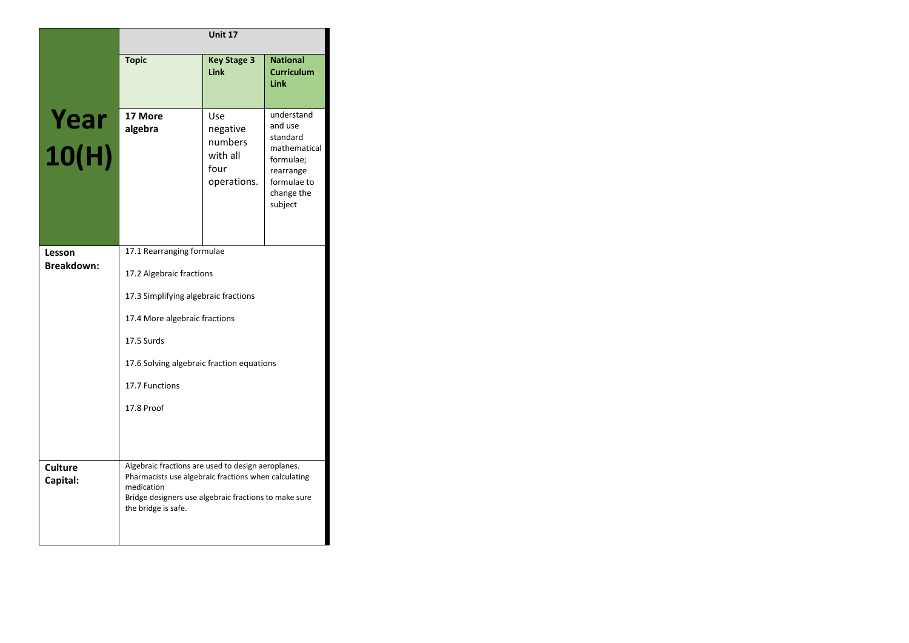|                             |                                                                                                                                                                                                          | Unit 17                                                       |                                                                                                                     |  |  |  |  |
|-----------------------------|----------------------------------------------------------------------------------------------------------------------------------------------------------------------------------------------------------|---------------------------------------------------------------|---------------------------------------------------------------------------------------------------------------------|--|--|--|--|
|                             | <b>Topic</b>                                                                                                                                                                                             | <b>Key Stage 3</b><br>Link                                    | <b>National</b><br><b>Curriculum</b><br><b>Link</b>                                                                 |  |  |  |  |
| Year<br>10(H)               | 17 More<br>algebra                                                                                                                                                                                       | Use<br>negative<br>numbers<br>with all<br>four<br>operations. | understand<br>and use<br>standard<br>mathematical<br>formulae;<br>rearrange<br>formulae to<br>change the<br>subject |  |  |  |  |
| Lesson<br><b>Breakdown:</b> | 17.1 Rearranging formulae                                                                                                                                                                                |                                                               |                                                                                                                     |  |  |  |  |
|                             | 17.2 Algebraic fractions                                                                                                                                                                                 |                                                               |                                                                                                                     |  |  |  |  |
|                             | 17.3 Simplifying algebraic fractions<br>17.4 More algebraic fractions                                                                                                                                    |                                                               |                                                                                                                     |  |  |  |  |
|                             | 17.5 Surds                                                                                                                                                                                               |                                                               |                                                                                                                     |  |  |  |  |
|                             | 17.6 Solving algebraic fraction equations                                                                                                                                                                |                                                               |                                                                                                                     |  |  |  |  |
|                             | 17.7 Functions                                                                                                                                                                                           |                                                               |                                                                                                                     |  |  |  |  |
|                             | 17.8 Proof                                                                                                                                                                                               |                                                               |                                                                                                                     |  |  |  |  |
|                             |                                                                                                                                                                                                          |                                                               |                                                                                                                     |  |  |  |  |
| <b>Culture</b><br>Capital:  | Algebraic fractions are used to design aeroplanes.<br>Pharmacists use algebraic fractions when calculating<br>medication<br>Bridge designers use algebraic fractions to make sure<br>the bridge is safe. |                                                               |                                                                                                                     |  |  |  |  |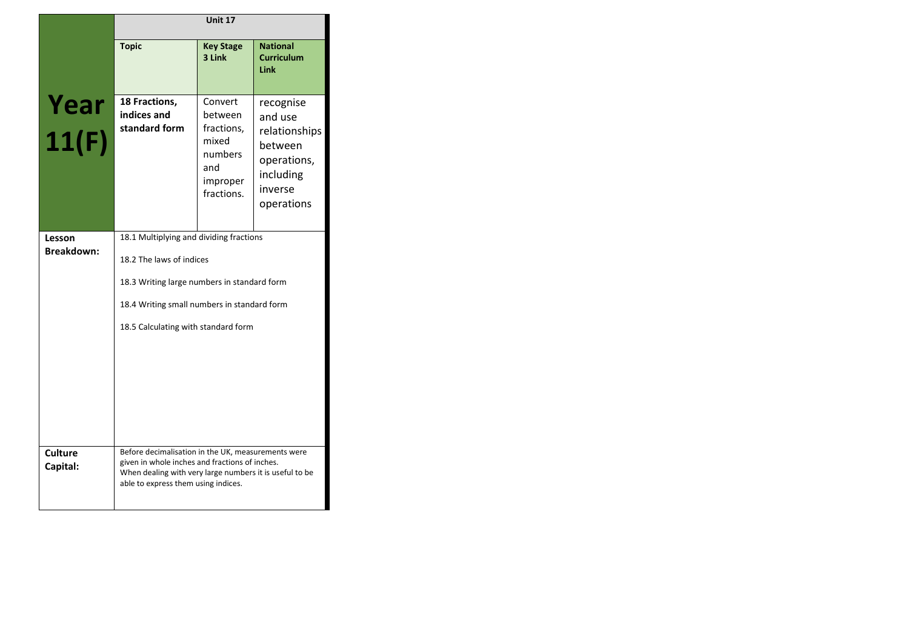|                             |                                                                                                                                                                                                          | Unit 17                                                                               |                                                                                                       |  |  |  |
|-----------------------------|----------------------------------------------------------------------------------------------------------------------------------------------------------------------------------------------------------|---------------------------------------------------------------------------------------|-------------------------------------------------------------------------------------------------------|--|--|--|
|                             | <b>Topic</b>                                                                                                                                                                                             | <b>Key Stage</b><br>3 Link                                                            | <b>National</b><br><b>Curriculum</b><br>Link                                                          |  |  |  |
| Year<br>11(F)               | 18 Fractions,<br>indices and<br>standard form                                                                                                                                                            | Convert<br>between<br>fractions,<br>mixed<br>numbers<br>and<br>improper<br>fractions. | recognise<br>and use<br>relationships<br>between<br>operations,<br>including<br>inverse<br>operations |  |  |  |
| Lesson<br><b>Breakdown:</b> | 18.1 Multiplying and dividing fractions<br>18.2 The laws of indices<br>18.3 Writing large numbers in standard form<br>18.4 Writing small numbers in standard form<br>18.5 Calculating with standard form |                                                                                       |                                                                                                       |  |  |  |
| <b>Culture</b><br>Capital:  | Before decimalisation in the UK, measurements were<br>given in whole inches and fractions of inches.<br>When dealing with very large numbers it is useful to be<br>able to express them using indices.   |                                                                                       |                                                                                                       |  |  |  |